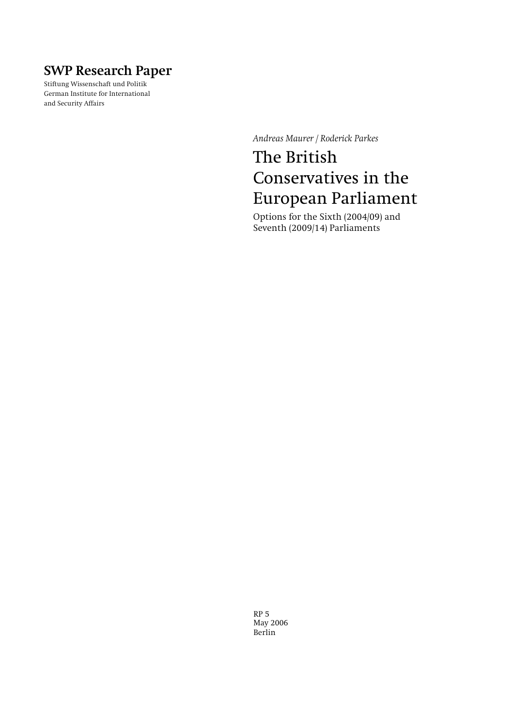## **SWP Research Paper**

Stiftung Wissenschaft und Politik German Institute for International and Security Affairs

*Andreas Maurer / Roderick Parkes* 

# The British Conservatives in the European Parliament

Options for the Sixth (2004/09) and Seventh (2009/14) Parliaments

RP 5 May 2006 Berlin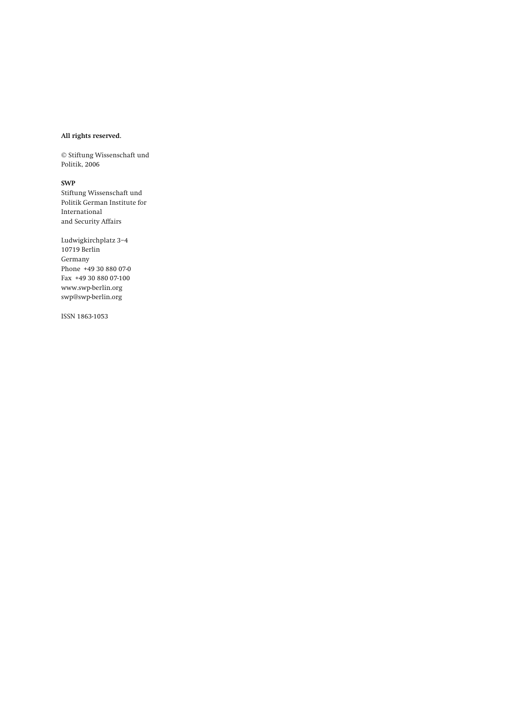#### **All rights reserved.**

© Stiftung Wissenschaft und Politik, 2006

#### **SWP**

Stiftung Wissenschaft und Politik German Institute for International and Security Affairs

Ludwigkirchplatz 3−4 10719 Berlin Germany Phone +49 30 880 07-0 Fax +49 30 880 07-100 www.swp-berlin.org swp@swp-berlin.org

ISSN 1863-1053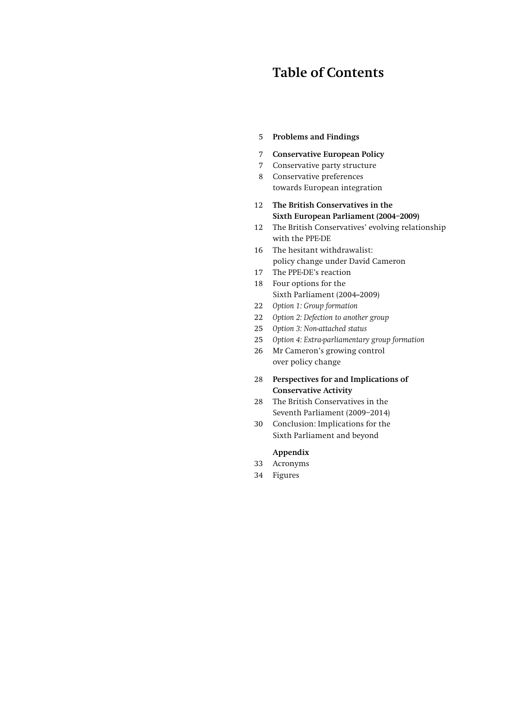## **Table of Contents**

## 5 **Problems and Findings**

- 7 **[Conservative European Policy](#page-6-0)**
- [7 Conservative party structure](#page-6-0)
- [8 Conservative preferences](#page-7-0)  [towards European integration](#page-7-0)
- 12 **[The British Conservatives in the](#page-11-0)  [Sixth European Parliament \(2004–2009\)](#page-11-0)**
- [12 The British Conservatives' evolving relationship](#page-11-0)  [with the PPE-DE](#page-11-0)
- [16 The hesitant withdrawalist:](#page-15-0)  [policy change under David Cameron](#page-15-0)
- [17 The PPE-DE's reaction](#page-16-0)
- [18 Four options for the](#page-17-0)  Sixth Parliament (2004-2009)
- 22 *Option 1: Group formation*
- 22 *[Option 2: Defection to another group](#page-21-0)*
- 25 *[Option 3: Non-attached status](#page-24-0)*
- 25 *[Option 4: Extra-parliamentary group formation](#page-24-0)*
- [26 Mr Cameron's growing control](#page-25-0)  [over policy change](#page-25-0)
- 28 **[Perspectives for and Implications of](#page-27-0)  [Conservative Activity](#page-27-0)**
- [28 The British Conservatives in the](#page-27-0)  [Seventh Parliament \(2009–2014\)](#page-27-0)
- [30 Conclusion: Implications for the](#page-29-0)  [Sixth Parliament and beyond](#page-29-0)

### **Appendix**

- [33 Acronyms](#page-32-0)
- [34 Figures](#page-33-0)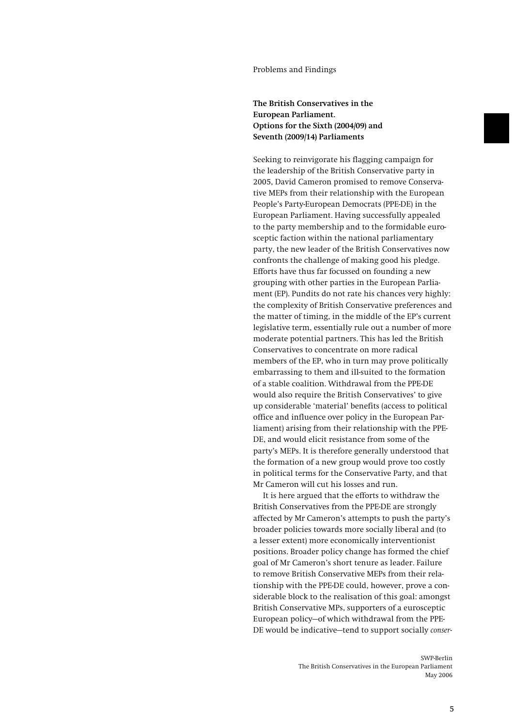#### Problems and Findings

## **The British Conservatives in the European Parliament. Options for the Sixth (2004/09) and Seventh (2009/14) Parliaments**

Seeking to reinvigorate his flagging campaign for the leadership of the British Conservative party in 2005, David Cameron promised to remove Conservative MEPs from their relationship with the European People's Party-European Democrats (PPE-DE) in the European Parliament. Having successfully appealed to the party membership and to the formidable eurosceptic faction within the national parliamentary party, the new leader of the British Conservatives now confronts the challenge of making good his pledge. Efforts have thus far focussed on founding a new grouping with other parties in the European Parliament (EP). Pundits do not rate his chances very highly: the complexity of British Conservative preferences and the matter of timing, in the middle of the EP's current legislative term, essentially rule out a number of more moderate potential partners. This has led the British Conservatives to concentrate on more radical members of the EP, who in turn may prove politically embarrassing to them and ill-suited to the formation of a stable coalition. Withdrawal from the PPE-DE would also require the British Conservatives' to give up considerable 'material' benefits (access to political office and influence over policy in the European Parliament) arising from their relationship with the PPE-DE, and would elicit resistance from some of the party's MEPs. It is therefore generally understood that the formation of a new group would prove too costly in political terms for the Conservative Party, and that Mr Cameron will cut his losses and run.

It is here argued that the efforts to withdraw the British Conservatives from the PPE-DE are strongly affected by Mr Cameron's attempts to push the party's broader policies towards more socially liberal and (to a lesser extent) more economically interventionist positions. Broader policy change has formed the chief goal of Mr Cameron's short tenure as leader. Failure to remove British Conservative MEPs from their relationship with the PPE-DE could, however, prove a considerable block to the realisation of this goal: amongst British Conservative MPs, supporters of a eurosceptic European policy—of which withdrawal from the PPE-DE would be indicative—tend to support socially *conser-*

> SWP-Berlin The British Conservatives in the European Parliament May 2006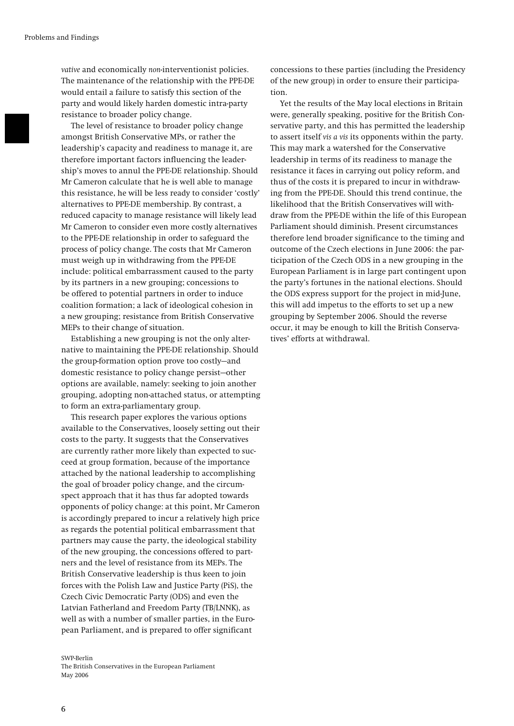*vative* and economically *non*-interventionist policies. The maintenance of the relationship with the PPE-DE would entail a failure to satisfy this section of the party and would likely harden domestic intra-party resistance to broader policy change.

The level of resistance to broader policy change amongst British Conservative MPs, or rather the leadership's capacity and readiness to manage it, are therefore important factors influencing the leadership's moves to annul the PPE-DE relationship. Should Mr Cameron calculate that he is well able to manage this resistance, he will be less ready to consider 'costly' alternatives to PPE-DE membership. By contrast, a reduced capacity to manage resistance will likely lead Mr Cameron to consider even more costly alternatives to the PPE-DE relationship in order to safeguard the process of policy change. The costs that Mr Cameron must weigh up in withdrawing from the PPE-DE include: political embarrassment caused to the party by its partners in a new grouping; concessions to be offered to potential partners in order to induce coalition formation; a lack of ideological cohesion in a new grouping; resistance from British Conservative MEPs to their change of situation.

Establishing a new grouping is not the only alternative to maintaining the PPE-DE relationship. Should the group-formation option prove too costly—and domestic resistance to policy change persist—other options are available, namely: seeking to join another grouping, adopting non-attached status, or attempting to form an extra-parliamentary group.

This research paper explores the various options available to the Conservatives, loosely setting out their costs to the party. It suggests that the Conservatives are currently rather more likely than expected to succeed at group formation, because of the importance attached by the national leadership to accomplishing the goal of broader policy change, and the circumspect approach that it has thus far adopted towards opponents of policy change: at this point, Mr Cameron is accordingly prepared to incur a relatively high price as regards the potential political embarrassment that partners may cause the party, the ideological stability of the new grouping, the concessions offered to partners and the level of resistance from its MEPs. The British Conservative leadership is thus keen to join forces with the Polish Law and Justice Party (PiS), the Czech Civic Democratic Party (ODS) and even the Latvian Fatherland and Freedom Party (TB/LNNK), as well as with a number of smaller parties, in the European Parliament, and is prepared to offer significant

#### SWP-Berlin The British Conservatives in the European Parliament May 2006

concessions to these parties (including the Presidency of the new group) in order to ensure their participation.

Yet the results of the May local elections in Britain were, generally speaking, positive for the British Conservative party, and this has permitted the leadership to assert itself *vis a vis* its opponents within the party. This may mark a watershed for the Conservative leadership in terms of its readiness to manage the resistance it faces in carrying out policy reform, and thus of the costs it is prepared to incur in withdrawing from the PPE-DE. Should this trend continue, the likelihood that the British Conservatives will withdraw from the PPE-DE within the life of this European Parliament should diminish. Present circumstances therefore lend broader significance to the timing and outcome of the Czech elections in June 2006: the participation of the Czech ODS in a new grouping in the European Parliament is in large part contingent upon the party's fortunes in the national elections. Should the ODS express support for the project in mid-June, this will add impetus to the efforts to set up a new grouping by September 2006. Should the reverse occur, it may be enough to kill the British Conservatives' efforts at withdrawal.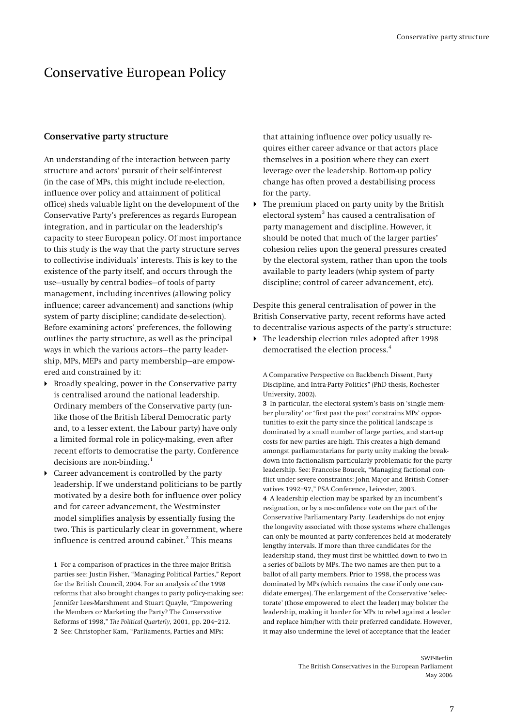## <span id="page-6-0"></span>Conservative European Policy

### **Conservative party structure**

An understanding of the interaction between party structure and actors' pursuit of their self-interest (in the case of MPs, this might include re-election, influence over policy and attainment of political office) sheds valuable light on the development of the Conservative Party's preferences as regards European integration, and in particular on the leadership's capacity to steer European policy. Of most importance to this study is the way that the party structure serves to collectivise individuals' interests. This is key to the existence of the party itself, and occurs through the use—usually by central bodies—of tools of party management, including incentives (allowing policy influence; career advancement) and sanctions (whip system of party discipline; candidate de-selection). Before examining actors' preferences, the following outlines the party structure, as well as the principal ways in which the various actors—the party leadership, MPs, MEPs and party membership—are empowered and constrained by it:

- <span id="page-6-3"></span> Broadly speaking, power in the Conservative party is centralised around the national leadership. Ordinary members of the Conservative party (unlike those of the British Liberal Democratic party and, to a lesser extent, the Labour party) have only a limited formal role in policy-making, even after recent efforts to democratise the party. Conference decisions are non-binding. $<sup>1</sup>$  $<sup>1</sup>$  $<sup>1</sup>$ </sup>
- <span id="page-6-4"></span> Career advancement is controlled by the party leadership. If we understand politicians to be partly motivated by a desire both for influence over policy and for career advancement, the Westminster model simplifies analysis by essentially fusing the two. This is particularly clear in government, where influence is centred around cabinet. $^{\rm 2}$  $^{\rm 2}$  $^{\rm 2}$  This means

<span id="page-6-2"></span><span id="page-6-1"></span>**1** For a comparison of practices in the three major British parties see: Justin Fisher, "Managing Political Parties," Report for the British Council, 2004. For an analysis of the 1998 reforms that also brought changes to party policy-making see: Jennifer Lees-Marshment and Stuart Quayle, "Empowering the Members or Marketing the Party? The Conservative Reforms of 1998," *The Political Quarterly*, 2001, pp. 204–212. **2** See: Christopher Kam, "Parliaments, Parties and MPs:

that attaining influence over policy usually requires either career advance or that actors place themselves in a position where they can exert leverage over the leadership. Bottom-up policy change has often proved a destabilising process for the party.

 The premium placed on party unity by the British electoral system<sup>[3](#page-6-3)</sup> has caused a centralisation of party management and discipline. However, it should be noted that much of the larger parties' cohesion relies upon the general pressures created by the electoral system, rather than upon the tools available to party leaders (whip system of party discipline; control of career advancement, etc).

Despite this general centralisation of power in the British Conservative party, recent reforms have acted to decentralise various aspects of the party's structure:

 The leadership election rules adopted after 1998 democratised the election process.<sup>[4](#page-6-4)</sup>

A Comparative Perspective on Backbench Dissent, Party Discipline, and Intra-Party Politics" (PhD thesis, Rochester University, 2002).

**3** In particular, the electoral system's basis on 'single member plurality' or 'first past the post' constrains MPs' opportunities to exit the party since the political landscape is dominated by a small number of large parties, and start-up costs for new parties are high. This creates a high demand amongst parliamentarians for party unity making the breakdown into factionalism particularly problematic for the party leadership. See: Francoise Boucek, "Managing factional conflict under severe constraints: John Major and British Conservatives 1992–97," PSA Conference, Leicester, 2003.

**4** A leadership election may be sparked by an incumbent's resignation, or by a no-confidence vote on the part of the Conservative Parliamentary Party. Leaderships do not enjoy the longevity associated with those systems where challenges can only be mounted at party conferences held at moderately lengthy intervals. If more than three candidates for the leadership stand, they must first be whittled down to two in a series of ballots by MPs. The two names are then put to a ballot of all party members. Prior to 1998, the process was dominated by MPs (which remains the case if only one candidate emerges). The enlargement of the Conservative 'selectorate' (those empowered to elect the leader) may bolster the leadership, making it harder for MPs to rebel against a leader and replace him/her with their preferred candidate. However, it may also undermine the level of acceptance that the leader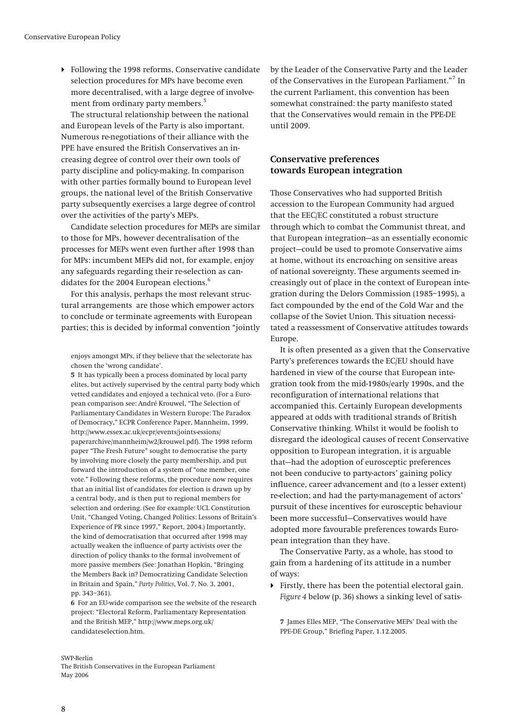<span id="page-7-0"></span> Following the 1998 reforms, Conservative candidate selection procedures for MPs have become even more decentralised, with a large degree of involve-ment from ordinary party members.<sup>[5](#page-7-1)</sup>

The structural relationship between the national and European levels of the Party is also important. Numerous re-negotiations of their alliance with the PPE have ensured the British Conservatives an increasing degree of control over their own tools of party discipline and policy-making. In comparison with other parties formally bound to European level groups, the national level of the British Conservative party subsequently exercises a large degree of control over the activities of the party's MEPs.

Candidate selection procedures for MEPs are similar to those for MPs, however decentralisation of the processes for MEPs went even further after 1998 than for MPs: incumbent MEPs did not, for example, enjoy any safeguards regarding their re-selection as can-didates for the 2004 European elections.<sup>[6](#page-7-2)</sup>

For this analysis, perhaps the most relevant structural arrangements are those which empower actors to conclude or terminate agreements with European parties; this is decided by informal convention "jointly

enjoys amongst MPs, if they believe that the selectorate has chosen the 'wrong candidate'.

<span id="page-7-1"></span>**5** It has typically been a process dominated by local party elites, but actively supervised by the central party body which vetted candidates and enjoyed a technical veto. (For a European comparison see: André Krouwel, "The Selection of Parliamentary Candidates in Western Europe: The Paradox of Democracy," ECPR Conference Paper, Mannheim, 1999, http://www.essex.ac.uk/ecpr/events/joints-essions/ paperarchive/mannheim/w2/krouwel.pdf). The 1998 reform paper "The Fresh Future" sought to democratise the party by involving more closely the party membership, and put forward the introduction of a system of "one member, one vote." Following these reforms, the procedure now requires that an initial list of candidates for election is drawn up by a central body, and is then put to regional members for selection and ordering. (See for example: UCL Constitution Unit, "Changed Voting, Changed Politics: Lessons of Britain's Experience of PR since 1997," Report, 2004.) Importantly, the kind of democratisation that occurred after 1998 may actually weaken the influence of party activists over the direction of policy thanks to the formal involvement of more passive members (See: Jonathan Hopkin, "Bringing the Members Back in? Democratizing Candidate Selection in Britain and Spain," *Party Politics*, Vol. 7, No. 3, 2001, pp. 343–361).

<span id="page-7-2"></span>**6** For an EU-wide comparison see the website of the research project: "Electoral Reform, Parliamentary Representation and the British MEP," http://www.meps.org.uk/ candidateselection.htm.

by the Leader of the Conservative Party and the Leader of the Conservatives in the European Parliament."<sup>[7](#page-7-3)</sup> In the current Parliament, this convention has been somewhat constrained: the party manifesto stated that the Conservatives would remain in the PPE-DE until 2009.

## **Conservative preferences towards European integration**

Those Conservatives who had supported British accession to the European Community had argued that the EEC/EC constituted a robust structure through which to combat the Communist threat, and that European integration—as an essentially economic project—could be used to promote Conservative aims at home, without its encroaching on sensitive areas of national sovereignty. These arguments seemed increasingly out of place in the context of European integration during the Delors Commission (1985–1995), a fact compounded by the end of the Cold War and the collapse of the Soviet Union. This situation necessitated a reassessment of Conservative attitudes towards Europe.

It is often presented as a given that the Conservative Party's preferences towards the EC/EU should have hardened in view of the course that European integration took from the mid-1980s/early 1990s, and the reconfiguration of international relations that accompanied this. Certainly European developments appeared at odds with traditional strands of British Conservative thinking. Whilst it would be foolish to disregard the ideological causes of recent Conservative opposition to European integration, it is arguable that—had the adoption of eurosceptic preferences not been conducive to party-actors' gaining policy influence, career advancement and (to a lesser extent) re-election; and had the party-management of actors' pursuit of these incentives for eurosceptic behaviour been more successful—Conservatives would have adopted more favourable preferences towards European integration than they have.

The Conservative Party, as a whole, has stood to gain from a hardening of its attitude in a number of ways:

 Firstly, there has been the potential electoral gain. *Figure 4* below (p. [36\)](#page-35-0) shows a sinking level of satis-

**7** James Elles MEP, "The Conservative MEPs' Deal with the PPE-DE Group," Briefing Paper, 1.12.2005.

#### <span id="page-7-3"></span>SWP-Berlin

The British Conservatives in the European Parliament May 2006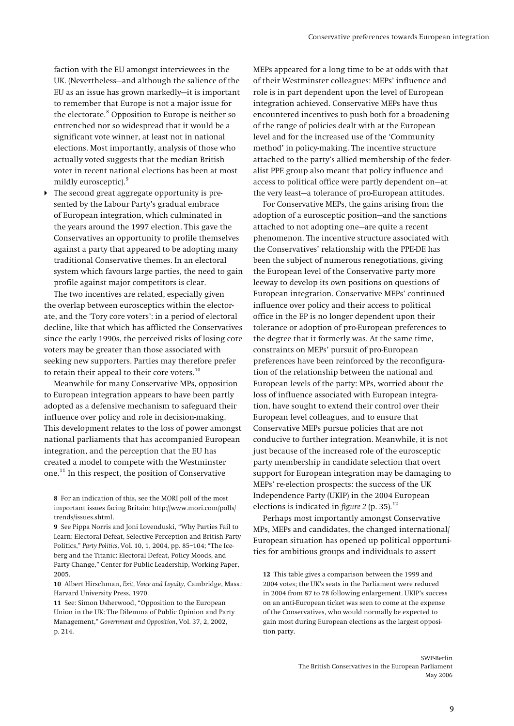faction with the EU amongst interviewees in the UK. (Nevertheless—and although the salience of the EU as an issue has grown markedly—it is important to remember that Europe is not a major issue for the electorate.<sup>[8](#page-8-0)</sup> Opposition to Europe is neither so entrenched nor so widespread that it would be a significant vote winner, at least not in national elections. Most importantly, analysis of those who actually voted suggests that the median British voter in recent national elections has been at most mildly eurosceptic).<sup>[9](#page-8-1)</sup>

 The second great aggregate opportunity is presented by the Labour Party's gradual embrace of European integration, which culminated in the years around the 1997 election. This gave the Conservatives an opportunity to profile themselves against a party that appeared to be adopting many traditional Conservative themes. In an electoral system which favours large parties, the need to gain profile against major competitors is clear.

The two incentives are related, especially given the overlap between eurosceptics within the electorate, and the 'Tory core voters': in a period of electoral decline, like that which has afflicted the Conservatives since the early 1990s, the perceived risks of losing core voters may be greater than those associated with seeking new supporters. Parties may therefore prefer to retain their appeal to their core voters.<sup>[10](#page-8-2)</sup>

Meanwhile for many Conservative MPs, opposition to European integration appears to have been partly adopted as a defensive mechanism to safeguard their influence over policy and role in decision-making. This development relates to the loss of power amongst national parliaments that has accompanied European integration, and the perception that the EU has created a model to compete with the Westminster one.[11](#page-8-3) In this respect, the position of Conservative

<span id="page-8-4"></span><span id="page-8-2"></span>**10** Albert Hirschman, *Exit, Voice and Loyalty*, Cambridge, Mass.: Harvard University Press, 1970.

<span id="page-8-3"></span>**11** See: Simon Usherwood, "Opposition to the European Union in the UK: The Dilemma of Public Opinion and Party Management," *Government and Opposition*, Vol. 37, 2, 2002, p. 214.

MEPs appeared for a long time to be at odds with that of their Westminster colleagues: MEPs' influence and role is in part dependent upon the level of European integration achieved. Conservative MEPs have thus encountered incentives to push both for a broadening of the range of policies dealt with at the European level and for the increased use of the 'Community method' in policy-making. The incentive structure attached to the party's allied membership of the federalist PPE group also meant that policy influence and access to political office were partly dependent on—at the very least—a tolerance of pro-European attitudes.

For Conservative MEPs, the gains arising from the adoption of a eurosceptic position—and the sanctions attached to not adopting one—are quite a recent phenomenon. The incentive structure associated with the Conservatives' relationship with the PPE-DE has been the subject of numerous renegotiations, giving the European level of the Conservative party more leeway to develop its own positions on questions of European integration. Conservative MEPs' continued influence over policy and their access to political office in the EP is no longer dependent upon their tolerance or adoption of pro-European preferences to the degree that it formerly was. At the same time, constraints on MEPs' pursuit of pro-European preferences have been reinforced by the reconfiguration of the relationship between the national and European levels of the party: MPs, worried about the loss of influence associated with European integration, have sought to extend their control over their European level colleagues, and to ensure that Conservative MEPs pursue policies that are not conducive to further integration. Meanwhile, it is not just because of the increased role of the eurosceptic party membership in candidate selection that overt support for European integration may be damaging to MEPs' re-election prospects: the success of the UK Independence Party (UKIP) in the 2004 European elections is indicated in *figure* 2 (p. [35\)](#page-34-0).<sup>[12](#page-8-4)</sup>

Perhaps most importantly amongst Conservative MPs, MEPs and candidates, the changed international/ European situation has opened up political opportunities for ambitious groups and individuals to assert

**12** This table gives a comparison between the 1999 and 2004 votes; the UK's seats in the Parliament were reduced in 2004 from 87 to 78 following enlargement. UKIP's success on an anti-European ticket was seen to come at the expense of the Conservatives, who would normally be expected to gain most during European elections as the largest opposition party.

<span id="page-8-0"></span>**<sup>8</sup>** For an indication of this, see the MORI poll of the most important issues facing Britain: http://www.mori.com/polls/ trends/issues.shtml.

<span id="page-8-1"></span>**<sup>9</sup>** See Pippa Norris and Joni Lovenduski, "Why Parties Fail to Learn: Electoral Defeat, Selective Perception and British Party Politics," *Party Politics*, Vol. 10, 1, 2004, pp. 85–104; "The Iceberg and the Titanic: Electoral Defeat, Policy Moods, and Party Change," Center for Public Leadership, Working Paper, 2005.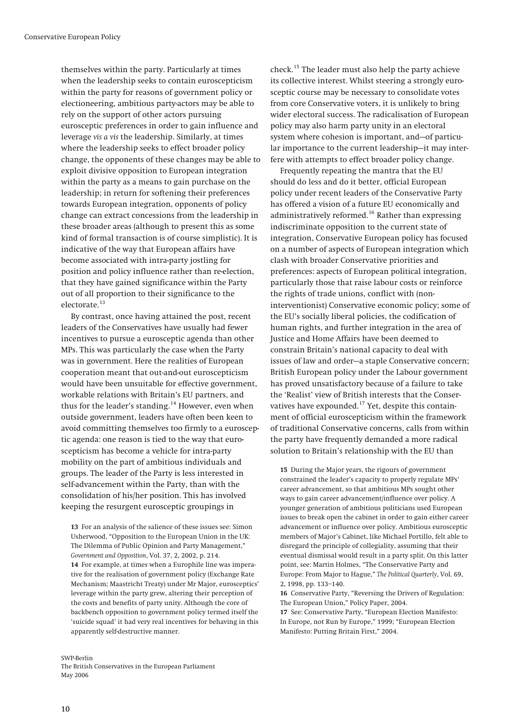themselves within the party. Particularly at times when the leadership seeks to contain euroscepticism within the party for reasons of government policy or electioneering, ambitious party-actors may be able to rely on the support of other actors pursuing eurosceptic preferences in order to gain influence and leverage *vis a vis* the leadership. Similarly, at times where the leadership seeks to effect broader policy change, the opponents of these changes may be able to exploit divisive opposition to European integration within the party as a means to gain purchase on the leadership; in return for softening their preferences towards European integration, opponents of policy change can extract concessions from the leadership in these broader areas (although to present this as some kind of formal transaction is of course simplistic). It is indicative of the way that European affairs have become associated with intra-party jostling for position and policy influence rather than re-election, that they have gained significance within the Party out of all proportion to their significance to the electorate.<sup>[13](#page-9-0)</sup>

By contrast, once having attained the post, recent leaders of the Conservatives have usually had fewer incentives to pursue a eurosceptic agenda than other MPs. This was particularly the case when the Party was in government. Here the realities of European cooperation meant that out-and-out euroscepticism would have been unsuitable for effective government, workable relations with Britain's EU partners, and thus for the leader's standing.<sup>[14](#page-9-1)</sup> However, even when outside government, leaders have often been keen to avoid committing themselves too firmly to a eurosceptic agenda: one reason is tied to the way that euroscepticism has become a vehicle for intra-party mobility on the part of ambitious individuals and groups. The leader of the Party is less interested in self-advancement within the Party, than with the consolidation of his/her position. This has involved keeping the resurgent eurosceptic groupings in

<span id="page-9-2"></span><span id="page-9-1"></span><span id="page-9-0"></span>**13** For an analysis of the salience of these issues see: Simon Usherwood, "Opposition to the European Union in the UK: The Dilemma of Public Opinion and Party Management," *Government and Opposition*, Vol. 37, 2, 2002, p. 214. **14** For example, at times when a Europhile line was imperative for the realisation of government policy (Exchange Rate Mechanism; Maastricht Treaty) under Mr Major, eurosceptics' leverage within the party grew, altering their perception of the costs and benefits of party unity. Although the core of backbench opposition to government policy termed itself the 'suicide squad' it had very real incentives for behaving in this apparently self-destructive manner.

check. [15](#page-9-2) The leader must also help the party achieve its collective interest. Whilst steering a strongly eurosceptic course may be necessary to consolidate votes from core Conservative voters, it is unlikely to bring wider electoral success. The radicalisation of European policy may also harm party unity in an electoral system where cohesion is important, and—of particular importance to the current leadership—it may interfere with attempts to effect broader policy change.

Frequently repeating the mantra that the EU should do less and do it better, official European policy under recent leaders of the Conservative Party has offered a vision of a future EU economically and administratively reformed.<sup>[16](#page-9-3)</sup> Rather than expressing indiscriminate opposition to the current state of integration, Conservative European policy has focused on a number of aspects of European integration which clash with broader Conservative priorities and preferences: aspects of European political integration, particularly those that raise labour costs or reinforce the rights of trade unions, conflict with (noninterventionist) Conservative economic policy; some of the EU's socially liberal policies, the codification of human rights, and further integration in the area of Justice and Home Affairs have been deemed to constrain Britain's national capacity to deal with issues of law and order—a staple Conservative concern; British European policy under the Labour government has proved unsatisfactory because of a failure to take the 'Realist' view of British interests that the Conser-vatives have expounded.<sup>[17](#page-9-4)</sup> Yet, despite this containment of official euroscepticism within the framework of traditional Conservative concerns, calls from within the party have frequently demanded a more radical solution to Britain's relationship with the EU than

**15** During the Major years, the rigours of government constrained the leader's capacity to properly regulate MPs' career advancement, so that ambitious MPs sought other ways to gain career advancement/influence over policy. A younger generation of ambitious politicians used European issues to break open the cabinet in order to gain either career advancement or influence over policy. Ambitious eurosceptic members of Major's Cabinet, like Michael Portillo, felt able to disregard the principle of collegiality, assuming that their eventual dismissal would result in a party split. On this latter point, see: Martin Holmes, "The Conservative Party and Europe: From Major to Hague," *The Political Quarterly*, Vol. 69, 2, 1998, pp. 133–140.

**16** Conservative Party, "Reversing the Drivers of Regulation: The European Union," Policy Paper, 2004.

**17** See: Conservative Party, "European Election Manifesto: In Europe, not Run by Europe," 1999; "European Election Manifesto: Putting Britain First," 2004.

#### <span id="page-9-4"></span><span id="page-9-3"></span>SWP-Berlin

The British Conservatives in the European Parliament May 2006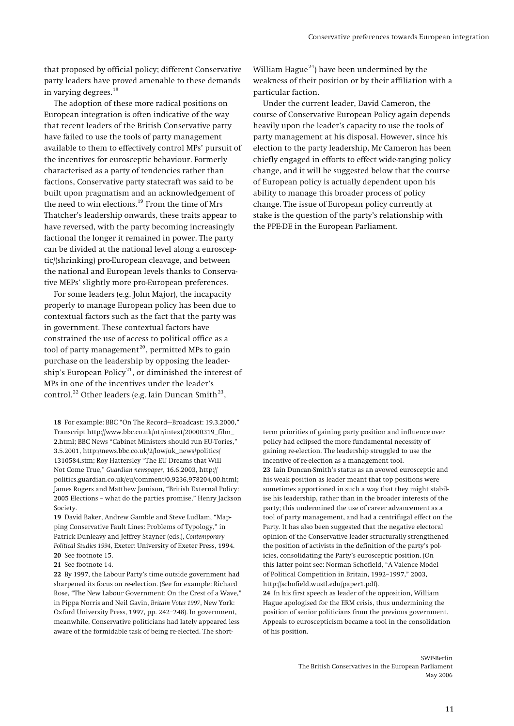that proposed by official policy; different Conservative party leaders have proved amenable to these demands in varying degrees.[18](#page-10-0)

The adoption of these more radical positions on European integration is often indicative of the way that recent leaders of the British Conservative party have failed to use the tools of party management available to them to effectively control MPs' pursuit of the incentives for eurosceptic behaviour. Formerly characterised as a party of tendencies rather than factions, Conservative party statecraft was said to be built upon pragmatism and an acknowledgement of the need to win elections.[19](#page-10-1) From the time of Mrs Thatcher's leadership onwards, these traits appear to have reversed, with the party becoming increasingly factional the longer it remained in power. The party can be divided at the national level along a eurosceptic/(shrinking) pro-European cleavage, and between the national and European levels thanks to Conservative MEPs' slightly more pro-European preferences.

For some leaders (e.g. John Major), the incapacity properly to manage European policy has been due to contextual factors such as the fact that the party was in government. These contextual factors have constrained the use of access to political office as a tool of party management<sup>[20](#page-10-2)</sup>, permitted MPs to gain purchase on the leadership by opposing the leader-ship's European Policy<sup>[21](#page-10-3)</sup>, or diminished the interest of MPs in one of the incentives under the leader's control.<sup>[22](#page-10-4)</sup> Other leaders (e.g. Iain Duncan Smith<sup>[23](#page-10-5)</sup>,

<span id="page-10-5"></span><span id="page-10-0"></span>**18** For example: BBC "On The Record—Broadcast: 19.3.2000," Transcript http://www.bbc.co.uk/otr/intext/20000319\_film\_ 2.html; BBC News "Cabinet Ministers should run EU-Tories," 3.5.2001, http://news.bbc.co.uk/2/low/uk\_news/politics/ 1310584.stm; Roy Hattersley "The EU Dreams that Will Not Come True," *Guardian newspaper*, 16.6.2003, http:// politics.guardian.co.uk/eu/comment/0,9236,978204,00.html; James Rogers and Matthew Jamison, "British External Policy: 2005 Elections – what do the parties promise," Henry Jackson Society.

<span id="page-10-1"></span>**19** David Baker, Andrew Gamble and Steve Ludlam, "Mapping Conservative Fault Lines: Problems of Typology," in Patrick Dunleavy and Jeffrey Stayner (eds.), *Contemporary Political Studies 1994*, Exeter: University of Exeter Press, 1994. **20** See footnote 15.

<span id="page-10-3"></span><span id="page-10-2"></span>**21** See footnote 14.

<span id="page-10-6"></span><span id="page-10-4"></span>**22** By 1997, the Labour Party's time outside government had sharpened its focus on re-election. (See for example: Richard Rose, "The New Labour Government: On the Crest of a Wave," in Pippa Norris and Neil Gavin, *Britain Votes 1997*, New York: Oxford University Press, 1997, pp. 242–248). In government, meanwhile, Conservative politicians had lately appeared less aware of the formidable task of being re-elected. The short-

William Hague<sup>[24](#page-10-6)</sup>) have been undermined by the weakness of their position or by their affiliation with a particular faction.

Under the current leader, David Cameron, the course of Conservative European Policy again depends heavily upon the leader's capacity to use the tools of party management at his disposal. However, since his election to the party leadership, Mr Cameron has been chiefly engaged in efforts to effect wide-ranging policy change, and it will be suggested below that the course of European policy is actually dependent upon his ability to manage this broader process of policy change. The issue of European policy currently at stake is the question of the party's relationship with the PPE-DE in the European Parliament.

term priorities of gaining party position and influence over policy had eclipsed the more fundamental necessity of gaining re-election. The leadership struggled to use the incentive of re-election as a management tool. **23** Iain Duncan-Smith's status as an avowed eurosceptic and his weak position as leader meant that top positions were sometimes apportioned in such a way that they might stabilise his leadership, rather than in the broader interests of the party; this undermined the use of career advancement as a tool of party management, and had a centrifugal effect on the Party. It has also been suggested that the negative electoral opinion of the Conservative leader structurally strengthened the position of activists in the definition of the party's policies, consolidating the Party's eurosceptic position. (On this latter point see: Norman Schofield, "A Valence Model of Political Competition in Britain, 1992–1997," 2003, http://schofield.wustl.edu/paper1.pdf).

**24** In his first speech as leader of the opposition, William Hague apologised for the ERM crisis, thus undermining the position of senior politicians from the previous government. Appeals to euroscepticism became a tool in the consolidation of his position.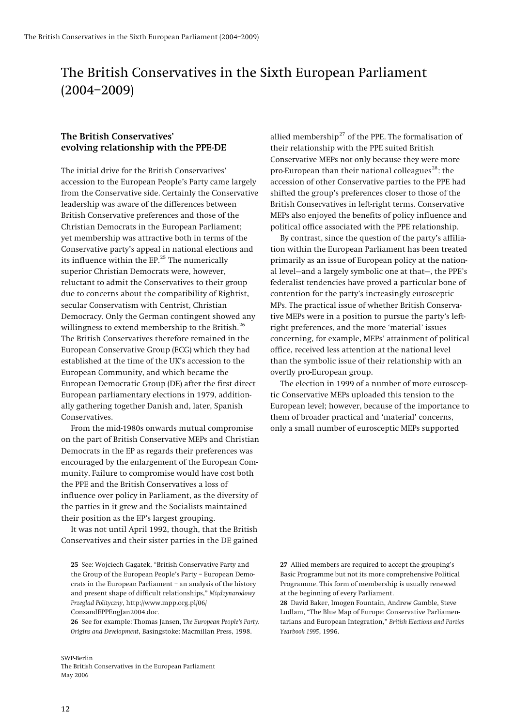## <span id="page-11-0"></span>The British Conservatives in the Sixth European Parliament (2004–2009)

## **The British Conservatives' evolving relationship with the PPE-DE**

The initial drive for the British Conservatives' accession to the European People's Party came largely from the Conservative side. Certainly the Conservative leadership was aware of the differences between British Conservative preferences and those of the Christian Democrats in the European Parliament; yet membership was attractive both in terms of the Conservative party's appeal in national elections and its influence within the  $EP<sup>25</sup>$  $EP<sup>25</sup>$  $EP<sup>25</sup>$  The numerically superior Christian Democrats were, however, reluctant to admit the Conservatives to their group due to concerns about the compatibility of Rightist, secular Conservatism with Centrist, Christian Democracy. Only the German contingent showed any willingness to extend membership to the British.<sup>[26](#page-11-2)</sup> The British Conservatives therefore remained in the European Conservative Group (ECG) which they had established at the time of the UK's accession to the European Community, and which became the European Democratic Group (DE) after the first direct European parliamentary elections in 1979, additionally gathering together Danish and, later, Spanish Conservatives.

From the mid-1980s onwards mutual compromise on the part of British Conservative MEPs and Christian Democrats in the EP as regards their preferences was encouraged by the enlargement of the European Community. Failure to compromise would have cost both the PPE and the British Conservatives a loss of influence over policy in Parliament, as the diversity of the parties in it grew and the Socialists maintained their position as the EP's largest grouping.

It was not until April 1992, though, that the British Conservatives and their sister parties in the DE gained

<span id="page-11-3"></span><span id="page-11-2"></span>**26** See for example: Thomas Jansen, *The European People's Party. Origins and Development*, Basingstoke: Macmillan Press, 1998.

#### SWP-Berlin The British Conservatives in the European Parliament May 2006

allied membership $^{27}$  $^{27}$  $^{27}$  of the PPE. The formalisation of their relationship with the PPE suited British Conservative MEPs not only because they were more pro-European than their national colleagues<sup>[28](#page-11-3)</sup>: the accession of other Conservative parties to the PPE had shifted the group's preferences closer to those of the British Conservatives in left-right terms. Conservative MEPs also enjoyed the benefits of policy influence and political office associated with the PPE relationship.

By contrast, since the question of the party's affiliation within the European Parliament has been treated primarily as an issue of European policy at the national level—and a largely symbolic one at that—, the PPE's federalist tendencies have proved a particular bone of contention for the party's increasingly eurosceptic MPs. The practical issue of whether British Conservative MEPs were in a position to pursue the party's leftright preferences, and the more 'material' issues concerning, for example, MEPs' attainment of political office, received less attention at the national level than the symbolic issue of their relationship with an overtly pro-European group.

The election in 1999 of a number of more eurosceptic Conservative MEPs uploaded this tension to the European level; however, because of the importance to them of broader practical and 'material' concerns, only a small number of eurosceptic MEPs supported

**27** Allied members are required to accept the grouping's Basic Programme but not its more comprehensive Political Programme. This form of membership is usually renewed at the beginning of every Parliament.

**28** David Baker, Imogen Fountain, Andrew Gamble, Steve Ludlam, "The Blue Map of Europe: Conservative Parliamentarians and European Integration," *British Elections and Parties Yearbook 1995*, 1996.

<span id="page-11-1"></span>**<sup>25</sup>** See: Wojciech Gagatek, "British Conservative Party and the Group of the European People's Party – European Democrats in the European Parliament – an analysis of the history and present shape of difficult relationships," *Miçdzynarodowy Przeglad Polityczny*, http://www.mpp.org.pl/06/ ConsandEPPEngJan2004.doc.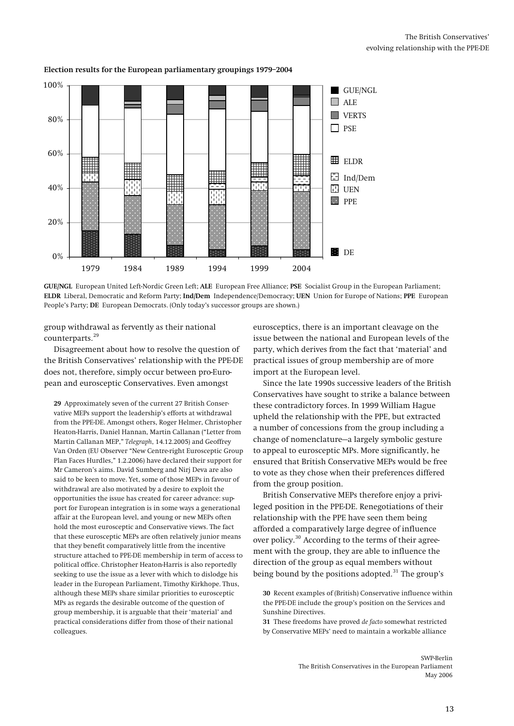

## **Election results for the European parliamentary groupings 1979–2004**

**GUE/NGL** European United Left-Nordic Green Left; **ALE** European Free Alliance; **PSE** Socialist Group in the European Parliament; **ELDR** Liberal, Democratic and Reform Party; **Ind/Dem** Independence/Democracy; **UEN** Union for Europe of Nations; **PPE** European People's Party; **DE** European Democrats. (Only today's successor groups are shown.)

group withdrawal as fervently as their national counterparts.<sup>[29](#page-12-0)</sup>

Disagreement about how to resolve the question of the British Conservatives' relationship with the PPE-DE does not, therefore, simply occur between pro-European and eurosceptic Conservatives. Even amongst

<span id="page-12-2"></span><span id="page-12-1"></span><span id="page-12-0"></span>**29** Approximately seven of the current 27 British Conservative MEPs support the leadership's efforts at withdrawal from the PPE-DE. Amongst others, Roger Helmer, Christopher Heaton-Harris, Daniel Hannan, Martin Callanan ("Letter from Martin Callanan MEP," *Telegraph*, 14.12.2005) and Geoffrey Van Orden (EU Observer "New Centre-right Eurosceptic Group Plan Faces Hurdles," 1.2.2006) have declared their support for Mr Cameron's aims. David Sumberg and Nirj Deva are also said to be keen to move. Yet, some of those MEPs in favour of withdrawal are also motivated by a desire to exploit the opportunities the issue has created for career advance: support for European integration is in some ways a generational affair at the European level, and young or new MEPs often hold the most eurosceptic and Conservative views. The fact that these eurosceptic MEPs are often relatively junior means that they benefit comparatively little from the incentive structure attached to PPE-DE membership in term of access to political office. Christopher Heaton-Harris is also reportedly seeking to use the issue as a lever with which to dislodge his leader in the European Parliament, Timothy Kirkhope. Thus, although these MEPs share similar priorities to eurosceptic MPs as regards the desirable outcome of the question of group membership, it is arguable that their 'material' and practical considerations differ from those of their national colleagues.

eurosceptics, there is an important cleavage on the issue between the national and European levels of the party, which derives from the fact that 'material' and practical issues of group membership are of more import at the European level.

Since the late 1990s successive leaders of the British Conservatives have sought to strike a balance between these contradictory forces. In 1999 William Hague upheld the relationship with the PPE, but extracted a number of concessions from the group including a change of nomenclature—a largely symbolic gesture to appeal to eurosceptic MPs. More significantly, he ensured that British Conservative MEPs would be free to vote as they chose when their preferences differed from the group position.

British Conservative MEPs therefore enjoy a privileged position in the PPE-DE. Renegotiations of their relationship with the PPE have seen them being afforded a comparatively large degree of influence over policy.<sup>[30](#page-12-1)</sup> According to the terms of their agreement with the group, they are able to influence the direction of the group as equal members without being bound by the positions adopted. $31$  The group's

**31** These freedoms have proved *de facto* somewhat restricted by Conservative MEPs' need to maintain a workable alliance

> SWP-Berlin The British Conservatives in the European Parliament May 2006

**<sup>30</sup>** Recent examples of (British) Conservative influence within the PPE-DE include the group's position on the Services and Sunshine Directives.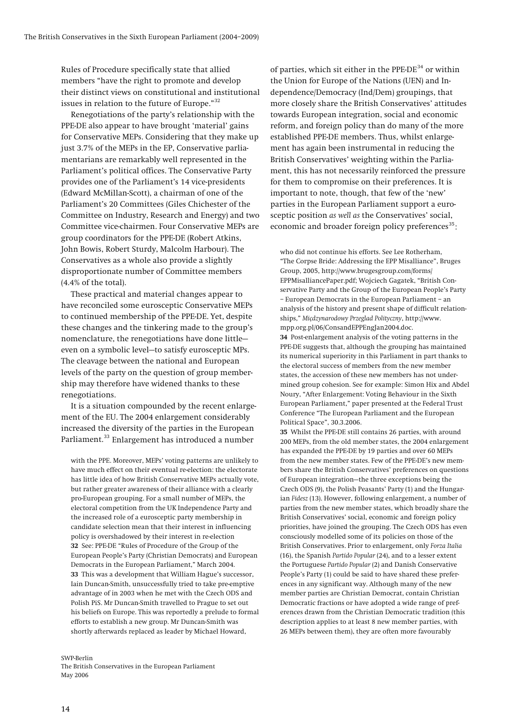Rules of Procedure specifically state that allied members "have the right to promote and develop their distinct views on constitutional and institutional issues in relation to the future of Europe."[32](#page-13-0)

Renegotiations of the party's relationship with the PPE-DE also appear to have brought 'material' gains for Conservative MEPs. Considering that they make up just 3.7% of the MEPs in the EP, Conservative parliamentarians are remarkably well represented in the Parliament's political offices. The Conservative Party provides one of the Parliament's 14 vice-presidents (Edward McMillan-Scott), a chairman of one of the Parliament's 20 Committees (Giles Chichester of the Committee on Industry, Research and Energy) and two Committee vice-chairmen. Four Conservative MEPs are group coordinators for the PPE-DE (Robert Atkins, John Bowis, Robert Sturdy, Malcolm Harbour). The Conservatives as a whole also provide a slightly disproportionate number of Committee members (4.4% of the total).

<span id="page-13-2"></span>These practical and material changes appear to have reconciled some eurosceptic Conservative MEPs to continued membership of the PPE-DE. Yet, despite these changes and the tinkering made to the group's nomenclature, the renegotiations have done little even on a symbolic level—to satisfy eurosceptic MPs. The cleavage between the national and European levels of the party on the question of group membership may therefore have widened thanks to these renegotiations.

<span id="page-13-3"></span>It is a situation compounded by the recent enlargement of the EU. The 2004 enlargement considerably increased the diversity of the parties in the European Parliament.<sup>[33](#page-13-1)</sup> Enlargement has introduced a number

<span id="page-13-0"></span>with the PPE. Moreover, MEPs' voting patterns are unlikely to have much effect on their eventual re-election: the electorate has little idea of how British Conservative MEPs actually vote, but rather greater awareness of their alliance with a clearly pro-European grouping. For a small number of MEPs, the electoral competition from the UK Independence Party and the increased role of a eurosceptic party membership in candidate selection mean that their interest in influencing policy is overshadowed by their interest in re-election **32** See: PPE-DE "Rules of Procedure of the Group of the European People's Party (Christian Democrats) and European Democrats in the European Parliament," March 2004. **33** This was a development that William Hague's successor, Iain Duncan-Smith, unsuccessfully tried to take pre-emptive advantage of in 2003 when he met with the Czech ODS and Polish PiS. Mr Duncan-Smith travelled to Prague to set out his beliefs on Europe. This was reportedly a prelude to formal efforts to establish a new group. Mr Duncan-Smith was shortly afterwards replaced as leader by Michael Howard,

#### <span id="page-13-1"></span>SWP-Berlin The British Conservatives in the European Parliament May 2006

of parties, which sit either in the  $\rm{PPE\text{-}DE}^{34}$  $\rm{PPE\text{-}DE}^{34}$  $\rm{PPE\text{-}DE}^{34}$  or within the Union for Europe of the Nations (UEN) and Independence/Democracy (Ind/Dem) groupings, that more closely share the British Conservatives' attitudes towards European integration, social and economic reform, and foreign policy than do many of the more established PPE-DE members. Thus, whilst enlargement has again been instrumental in reducing the British Conservatives' weighting within the Parliament, this has not necessarily reinforced the pressure for them to compromise on their preferences. It is important to note, though, that few of the 'new' parties in the European Parliament support a eurosceptic position *as well as* the Conservatives' social, economic and broader foreign policy preferences $35$ :

who did not continue his efforts. See Lee Rotherham, "The Corpse Bride: Addressing the EPP Misalliance", Bruges Group, 2005, http://www.brugesgroup.com/forms/ EPPMisalliancePaper.pdf; Wojciech Gagatek, "British Conservative Party and the Group of the European People's Party – European Democrats in the European Parliament – an analysis of the history and present shape of difficult relationships," *Miçdzynarodowy Przeglad Polityczny*, http://www. mpp.org.pl/06/ConsandEPPEngJan2004.doc. **34** Post-enlargement analysis of the voting patterns in the PPE-DE suggests that, although the grouping has maintained its numerical superiority in this Parliament in part thanks to the electoral success of members from the new member states, the accession of these new members has not under-

mined group cohesion. See for example: Simon Hix and Abdel Noury, "After Enlargement: Voting Behaviour in the Sixth European Parliament," paper presented at the Federal Trust Conference "The European Parliament and the European Political Space", 30.3.2006.

**35** Whilst the PPE-DE still contains 26 parties, with around 200 MEPs, from the old member states, the 2004 enlargement has expanded the PPE-DE by 19 parties and over 60 MEPs from the new member states. Few of the PPE-DE's new members share the British Conservatives' preferences on questions of European integration—the three exceptions being the Czech ODS (9), the Polish Peasants' Party (1) and the Hungarian *Fidesz* (13). However, following enlargement, a number of parties from the new member states, which broadly share the British Conservatives' social, economic and foreign policy priorities, have joined the grouping. The Czech ODS has even consciously modelled some of its policies on those of the British Conservatives. Prior to enlargement, only *Forza Italia* (16), the Spanish *Partido Popular* (24), and to a lesser extent the Portuguese *Partido Popular* (2) and Danish Conservative People's Party (1) could be said to have shared these preferences in any significant way. Although many of the new member parties are Christian Democrat, contain Christian Democratic fractions or have adopted a wide range of preferences drawn from the Christian Democratic tradition (this description applies to at least 8 new member parties, with 26 MEPs between them), they are often more favourably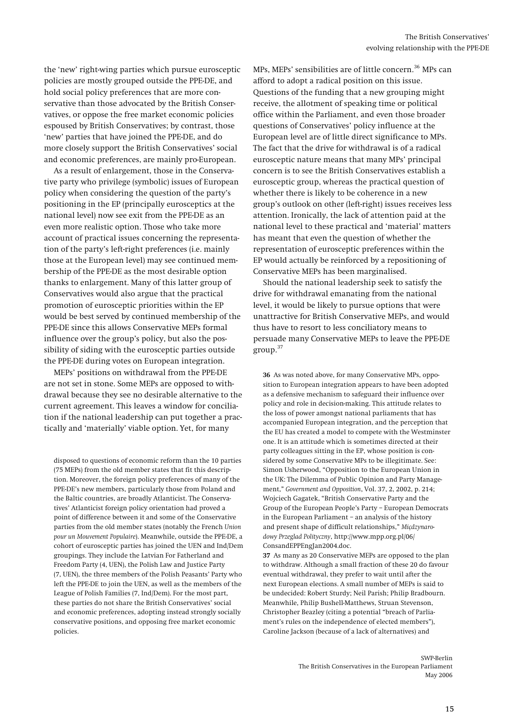the 'new' right-wing parties which pursue eurosceptic policies are mostly grouped outside the PPE-DE, and hold social policy preferences that are more conservative than those advocated by the British Conservatives, or oppose the free market economic policies espoused by British Conservatives; by contrast, those 'new' parties that have joined the PPE-DE, and do more closely support the British Conservatives' social and economic preferences, are mainly pro-European.

As a result of enlargement, those in the Conservative party who privilege (symbolic) issues of European policy when considering the question of the party's positioning in the EP (principally eurosceptics at the national level) now see exit from the PPE-DE as an even more realistic option. Those who take more account of practical issues concerning the representation of the party's left-right preferences (i.e. mainly those at the European level) may see continued membership of the PPE-DE as the most desirable option thanks to enlargement. Many of this latter group of Conservatives would also argue that the practical promotion of eurosceptic priorities within the EP would be best served by continued membership of the PPE-DE since this allows Conservative MEPs formal influence over the group's policy, but also the possibility of siding with the eurosceptic parties outside the PPE-DE during votes on European integration.

<span id="page-14-0"></span>MEPs' positions on withdrawal from the PPE-DE are not set in stone. Some MEPs are opposed to withdrawal because they see no desirable alternative to the current agreement. This leaves a window for conciliation if the national leadership can put together a practically and 'materially' viable option. Yet, for many

<span id="page-14-1"></span>disposed to questions of economic reform than the 10 parties (75 MEPs) from the old member states that fit this description. Moreover, the foreign policy preferences of many of the PPE-DE's new members, particularly those from Poland and the Baltic countries, are broadly Atlanticist. The Conservatives' Atlanticist foreign policy orientation had proved a point of difference between it and some of the Conservative parties from the old member states (notably the French *Union pour un Mouvement Populaire*). Meanwhile, outside the PPE-DE, a cohort of eurosceptic parties has joined the UEN and Ind/Dem groupings. They include the Latvian For Fatherland and Freedom Party (4, UEN), the Polish Law and Justice Party (7, UEN), the three members of the Polish Peasants' Party who left the PPE-DE to join the UEN, as well as the members of the League of Polish Families (7, Ind/Dem). For the most part, these parties do not share the British Conservatives' social and economic preferences, adopting instead strongly socially conservative positions, and opposing free market economic policies.

MPs, MEPs' sensibilities are of little concern. [36](#page-14-0) MPs can afford to adopt a radical position on this issue. Questions of the funding that a new grouping might receive, the allotment of speaking time or political office within the Parliament, and even those broader questions of Conservatives' policy influence at the European level are of little direct significance to MPs. The fact that the drive for withdrawal is of a radical eurosceptic nature means that many MPs' principal concern is to see the British Conservatives establish a eurosceptic group, whereas the practical question of whether there is likely to be coherence in a new group's outlook on other (left-right) issues receives less attention. Ironically, the lack of attention paid at the national level to these practical and 'material' matters has meant that even the question of whether the representation of eurosceptic preferences within the EP would actually be reinforced by a repositioning of Conservative MEPs has been marginalised.

Should the national leadership seek to satisfy the drive for withdrawal emanating from the national level, it would be likely to pursue options that were unattractive for British Conservative MEPs, and would thus have to resort to less conciliatory means to persuade many Conservative MEPs to leave the PPE-DE group.[37](#page-14-1)

**36** As was noted above, for many Conservative MPs, opposition to European integration appears to have been adopted as a defensive mechanism to safeguard their influence over policy and role in decision-making. This attitude relates to the loss of power amongst national parliaments that has accompanied European integration, and the perception that the EU has created a model to compete with the Westminster one. It is an attitude which is sometimes directed at their party colleagues sitting in the EP, whose position is considered by some Conservative MPs to be illegitimate. See: Simon Usherwood, "Opposition to the European Union in the UK: The Dilemma of Public Opinion and Party Management," *Government and Opposition*, Vol. 37, 2, 2002, p. 214; Wojciech Gagatek, "British Conservative Party and the Group of the European People's Party – European Democrats in the European Parliament – an analysis of the history and present shape of difficult relationships," *Miçdzynarodowy Przeglad Polityczny*, http://www.mpp.org.pl/06/ ConsandEPPEngJan2004.doc.

**37** As many as 20 Conservative MEPs are opposed to the plan to withdraw. Although a small fraction of these 20 do favour eventual withdrawal, they prefer to wait until after the next European elections. A small number of MEPs is said to be undecided: Robert Sturdy; Neil Parish; Philip Bradbourn. Meanwhile, Philip Bushell-Matthews, Struan Stevenson, Christopher Beazley (citing a potential "breach of Parliament's rules on the independence of elected members"), Caroline Jackson (because of a lack of alternatives) and

> SWP-Berlin The British Conservatives in the European Parliament May 2006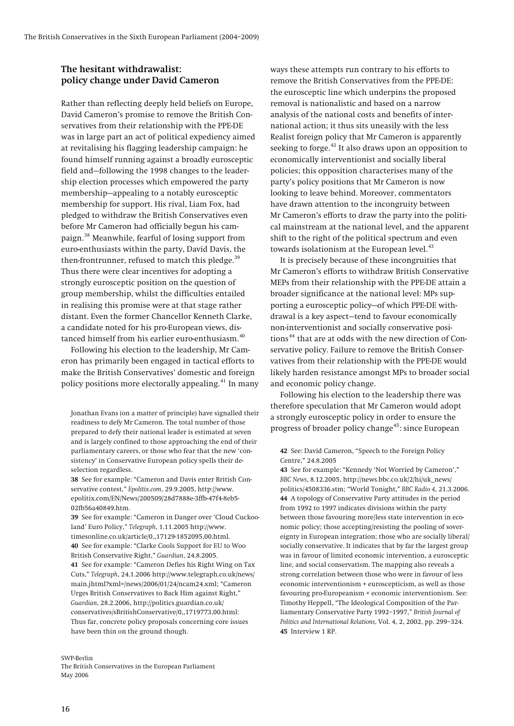## <span id="page-15-0"></span>**The hesitant withdrawalist: policy change under David Cameron**

Rather than reflecting deeply held beliefs on Europe, David Cameron's promise to remove the British Conservatives from their relationship with the PPE-DE was in large part an act of political expediency aimed at revitalising his flagging leadership campaign: he found himself running against a broadly eurosceptic field and—following the 1998 changes to the leadership election processes which empowered the party membership—appealing to a notably eurosceptic membership for support. His rival, Liam Fox, had pledged to withdraw the British Conservatives even before Mr Cameron had officially begun his campaign.[38](#page-15-1) Meanwhile, fearful of losing support from euro-enthusiasts within the party, David Davis, the then-frontrunner, refused to match this pledge. $39$ Thus there were clear incentives for adopting a strongly eurosceptic position on the question of group membership, whilst the difficulties entailed in realising this promise were at that stage rather distant. Even the former Chancellor Kenneth Clarke, a candidate noted for his pro-European views, dis-tanced himself from his earlier euro-enthusiasm.<sup>[40](#page-15-3)</sup>

Following his election to the leadership, Mr Cameron has primarily been engaged in tactical efforts to make the British Conservatives' domestic and foreign policy positions more electorally appealing.<sup>[41](#page-15-4)</sup> In many

Jonathan Evans (on a matter of principle) have signalled their readiness to defy Mr Cameron. The total number of those prepared to defy their national leader is estimated at seven and is largely confined to those approaching the end of their parliamentary careers, or those who fear that the new 'consistency' in Conservative European policy spells their deselection regardless.

<span id="page-15-7"></span><span id="page-15-6"></span><span id="page-15-5"></span><span id="page-15-1"></span>**38** See for example: "Cameron and Davis enter British Conservative contest," *Epolitix.com*, 29.9.2005, http://www. epolitix.com/EN/News/200509/28d7888e-3ffb-47f4-8eb5- 02fb56a40849.htm.

<span id="page-15-4"></span><span id="page-15-3"></span><span id="page-15-2"></span>**39** See for example: "Cameron in Danger over 'Cloud Cuckooland' Euro Policy," *Telegraph*, 1.11.2005 http://www. timesonline.co.uk/article/0,,17129-1852095,00.html. **40** See for example: "Clarke Cools Support for EU to Woo British Conservative Right," *Guardian*, 24.8.2005. **41** See for example: "Cameron Defies his Right Wing on Tax Cuts," *Telegraph*, 24.1.2006 http://www.telegraph.co.uk/news/ main.jhtml?xml=/news/2006/01/24/ncam24.xml; "Cameron Urges British Conservatives to Back Him against Right," *Guardian*, 28.2.2006, http://politics.guardian.co.uk/ conservatives/sBritishConservative/0,,1719773,00.html: Thus far, concrete policy proposals concerning core issues have been thin on the ground though.

<span id="page-15-8"></span>SWP-Berlin

The British Conservatives in the European Parliament May 2006

ways these attempts run contrary to his efforts to remove the British Conservatives from the PPE-DE: the eurosceptic line which underpins the proposed removal is nationalistic and based on a narrow analysis of the national costs and benefits of international action; it thus sits uneasily with the less Realist foreign policy that Mr Cameron is apparently seeking to forge. [42](#page-15-5) It also draws upon an opposition to economically interventionist and socially liberal policies; this opposition characterises many of the party's policy positions that Mr Cameron is now looking to leave behind. Moreover, commentators have drawn attention to the incongruity between Mr Cameron's efforts to draw the party into the political mainstream at the national level, and the apparent shift to the right of the political spectrum and even towards isolationism at the European level.<sup>[43](#page-15-6)</sup>

It is precisely because of these incongruities that Mr Cameron's efforts to withdraw British Conservative MEPs from their relationship with the PPE-DE attain a broader significance at the national level: MPs supporting a eurosceptic policy—of which PPE-DE withdrawal is a key aspect—tend to favour economically non-interventionist and socially conservative posi-tions<sup>[44](#page-15-7)</sup> that are at odds with the new direction of Conservative policy. Failure to remove the British Conservatives from their relationship with the PPE-DE would likely harden resistance amongst MPs to broader social and economic policy change.

Following his election to the leadership there was therefore speculation that Mr Cameron would adopt a strongly eurosceptic policy in order to ensure the progress of broader policy change<sup>[45](#page-15-8)</sup>: since European

**42** See: David Cameron, "Speech to the Foreign Policy Centre," 24.8.2005

**43** See for example: "Kennedy 'Not Worried by Cameron'," *BBC News*, 8.12.2005, http://news.bbc.co.uk/2/hi/uk\_news/ politics/4508336.stm; "World Tonight," *BBC Radio 4*, 21.3.2006. **44** A topology of Conservative Party attitudes in the period from 1992 to 1997 indicates divisions within the party between those favouring more/less state intervention in economic policy; those accepting/resisting the pooling of sovereignty in European integration; those who are socially liberal/ socially conservative. It indicates that by far the largest group was in favour of limited economic intervention, a eurosceptic line, and social conservatism. The mapping also reveals a strong correlation between those who were in favour of less economic interventionism + euroscepticism, as well as those favouring pro-Europeanism + economic interventionism. See: Timothy Heppell, "The Ideological Composition of the Parliamentary Conservative Party 1992–1997," *British Journal of Politics and International Relations*, Vol. 4, 2, 2002, pp. 299–324. **45** Interview 1 RP.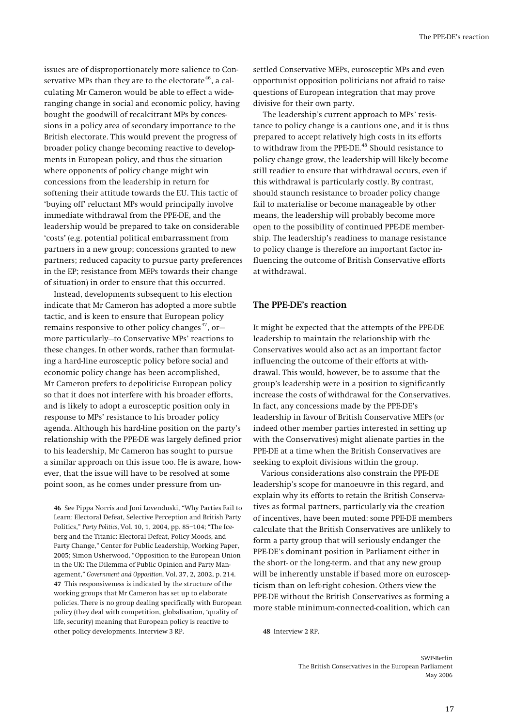<span id="page-16-0"></span>issues are of disproportionately more salience to Conservative MPs than they are to the electorate  $46$ , a calculating Mr Cameron would be able to effect a wideranging change in social and economic policy, having bought the goodwill of recalcitrant MPs by concessions in a policy area of secondary importance to the British electorate. This would prevent the progress of broader policy change becoming reactive to developments in European policy, and thus the situation where opponents of policy change might win concessions from the leadership in return for softening their attitude towards the EU. This tactic of 'buying off' reluctant MPs would principally involve immediate withdrawal from the PPE-DE, and the leadership would be prepared to take on considerable 'costs' (e.g. potential political embarrassment from partners in a new group; concessions granted to new partners; reduced capacity to pursue party preferences in the EP; resistance from MEPs towards their change of situation) in order to ensure that this occurred.

Instead, developments subsequent to his election indicate that Mr Cameron has adopted a more subtle tactic, and is keen to ensure that European policy remains responsive to other policy changes $47$ , ormore particularly—to Conservative MPs' reactions to these changes. In other words, rather than formulating a hard-line eurosceptic policy before social and economic policy change has been accomplished, Mr Cameron prefers to depoliticise European policy so that it does not interfere with his broader efforts, and is likely to adopt a eurosceptic position only in response to MPs' resistance to his broader policy agenda. Although his hard-line position on the party's relationship with the PPE-DE was largely defined prior to his leadership, Mr Cameron has sought to pursue a similar approach on this issue too. He is aware, however, that the issue will have to be resolved at some point soon, as he comes under pressure from un-

<span id="page-16-3"></span><span id="page-16-2"></span><span id="page-16-1"></span>**46** See Pippa Norris and Joni Lovenduski, "Why Parties Fail to Learn: Electoral Defeat, Selective Perception and British Party Politics," *Party Politics*, Vol. 10, 1, 2004, pp. 85–104; "The Iceberg and the Titanic: Electoral Defeat, Policy Moods, and Party Change," Center for Public Leadership, Working Paper, 2005; Simon Usherwood, "Opposition to the European Union in the UK: The Dilemma of Public Opinion and Party Management," *Government and Opposition*, Vol. 37, 2, 2002, p. 214. **47** This responsiveness is indicated by the structure of the working groups that Mr Cameron has set up to elaborate policies. There is no group dealing specifically with European policy (they deal with competition, globalisation, 'quality of life, security) meaning that European policy is reactive to other policy developments. Interview 3 RP.

settled Conservative MEPs, eurosceptic MPs and even opportunist opposition politicians not afraid to raise questions of European integration that may prove divisive for their own party.

The leadership's current approach to MPs' resistance to policy change is a cautious one, and it is thus prepared to accept relatively high costs in its efforts to withdraw from the PPE-DE.<sup>[48](#page-16-3)</sup> Should resistance to policy change grow, the leadership will likely become still readier to ensure that withdrawal occurs, even if this withdrawal is particularly costly. By contrast, should staunch resistance to broader policy change fail to materialise or become manageable by other means, the leadership will probably become more open to the possibility of continued PPE-DE membership. The leadership's readiness to manage resistance to policy change is therefore an important factor influencing the outcome of British Conservative efforts at withdrawal.

### **The PPE-DE's reaction**

It might be expected that the attempts of the PPE-DE leadership to maintain the relationship with the Conservatives would also act as an important factor influencing the outcome of their efforts at withdrawal. This would, however, be to assume that the group's leadership were in a position to significantly increase the costs of withdrawal for the Conservatives. In fact, any concessions made by the PPE-DE's leadership in favour of British Conservative MEPs (or indeed other member parties interested in setting up with the Conservatives) might alienate parties in the PPE-DE at a time when the British Conservatives are seeking to exploit divisions within the group.

Various considerations also constrain the PPE-DE leadership's scope for manoeuvre in this regard, and explain why its efforts to retain the British Conservatives as formal partners, particularly via the creation of incentives, have been muted: some PPE-DE members calculate that the British Conservatives are unlikely to form a party group that will seriously endanger the PPE-DE's dominant position in Parliament either in the short- or the long-term, and that any new group will be inherently unstable if based more on euroscepticism than on left-right cohesion. Others view the PPE-DE without the British Conservatives as forming a more stable minimum-connected-coalition, which can

**48** Interview 2 RP.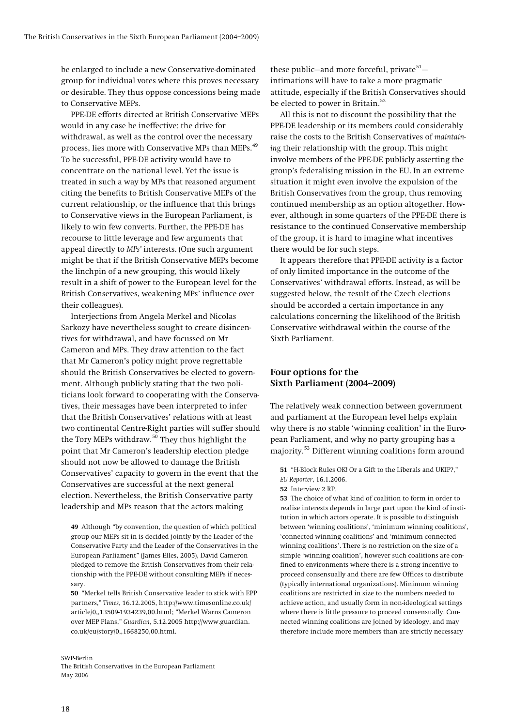<span id="page-17-0"></span>be enlarged to include a new Conservative-dominated group for individual votes where this proves necessary or desirable. They thus oppose concessions being made to Conservative MEPs.

PPE-DE efforts directed at British Conservative MEPs would in any case be ineffective: the drive for withdrawal, as well as the control over the necessary process, lies more with Conservative MPs than MEPs.<sup>[49](#page-17-1)</sup> To be successful, PPE-DE activity would have to concentrate on the national level. Yet the issue is treated in such a way by MPs that reasoned argument citing the benefits to British Conservative MEPs of the current relationship, or the influence that this brings to Conservative views in the European Parliament, is likely to win few converts. Further, the PPE-DE has recourse to little leverage and few arguments that appeal directly to *MPs'* interests. (One such argument might be that if the British Conservative MEPs become the linchpin of a new grouping, this would likely result in a shift of power to the European level for the British Conservatives, weakening MPs' influence over their colleagues).

Interjections from Angela Merkel and Nicolas Sarkozy have nevertheless sought to create disincentives for withdrawal, and have focussed on Mr Cameron and MPs. They draw attention to the fact that Mr Cameron's policy might prove regrettable should the British Conservatives be elected to government. Although publicly stating that the two politicians look forward to cooperating with the Conservatives, their messages have been interpreted to infer that the British Conservatives' relations with at least two continental Centre-Right parties will suffer should the Tory MEPs withdraw.<sup>[50](#page-17-2)</sup> They thus highlight the point that Mr Cameron's leadership election pledge should not now be allowed to damage the British Conservatives' capacity to govern in the event that the Conservatives are successful at the next general election. Nevertheless, the British Conservative party leadership and MPs reason that the actors making

<span id="page-17-5"></span><span id="page-17-4"></span><span id="page-17-3"></span><span id="page-17-1"></span>**49** Although "by convention, the question of which political group our MEPs sit in is decided jointly by the Leader of the Conservative Party and the Leader of the Conservatives in the European Parliament" (James Elles, 2005), David Cameron pledged to remove the British Conservatives from their relationship with the PPE-DE without consulting MEPs if necessary.

<span id="page-17-2"></span>**50** "Merkel tells British Conservative leader to stick with EPP partners," *Times*, 16.12.2005, http://www.timesonline.co.uk/ article/0,,13509-1934239,00.html; "Merkel Warns Cameron over MEP Plans," *Guardian*, 5.12.2005 http://www.guardian. co.uk/eu/story/0,,1668250,00.html.

SWP-Berlin

The British Conservatives in the European Parliament May 2006

these public-and more forceful, private<sup>[51](#page-17-3)</sup>intimations will have to take a more pragmatic attitude, especially if the British Conservatives should be elected to power in Britain.<sup>[52](#page-17-4)</sup>

All this is not to discount the possibility that the PPE-DE leadership or its members could considerably raise the costs to the British Conservatives of *maintaining* their relationship with the group. This might involve members of the PPE-DE publicly asserting the group's federalising mission in the EU. In an extreme situation it might even involve the expulsion of the British Conservatives from the group, thus removing continued membership as an option altogether. However, although in some quarters of the PPE-DE there is resistance to the continued Conservative membership of the group, it is hard to imagine what incentives there would be for such steps.

It appears therefore that PPE-DE activity is a factor of only limited importance in the outcome of the Conservatives' withdrawal efforts. Instead, as will be suggested below, the result of the Czech elections should be accorded a certain importance in any calculations concerning the likelihood of the British Conservative withdrawal within the course of the Sixth Parliament.

## **Four options for the Sixth Parliament (2004--2009)**

The relatively weak connection between government and parliament at the European level helps explain why there is no stable 'winning coalition' in the European Parliament, and why no party grouping has a majority.[53](#page-17-5) Different winning coalitions form around

**53** The choice of what kind of coalition to form in order to realise interests depends in large part upon the kind of institution in which actors operate. It is possible to distinguish between 'winning coalitions', 'minimum winning coalitions', 'connected winning coalitions' and 'minimum connected winning coalitions'. There is no restriction on the size of a simple 'winning coalition', however such coalitions are confined to environments where there is a strong incentive to proceed consensually and there are few Offices to distribute (typically international organizations). Minimum winning coalitions are restricted in size to the numbers needed to achieve action, and usually form in non-ideological settings where there is little pressure to proceed consensually. Connected winning coalitions are joined by ideology, and may therefore include more members than are strictly necessary

**<sup>51</sup>** "H-Block Rules OK! Or a Gift to the Liberals and UKIP?," *EU Reporter*, 16.1.2006.

**<sup>52</sup>** Interview 2 RP.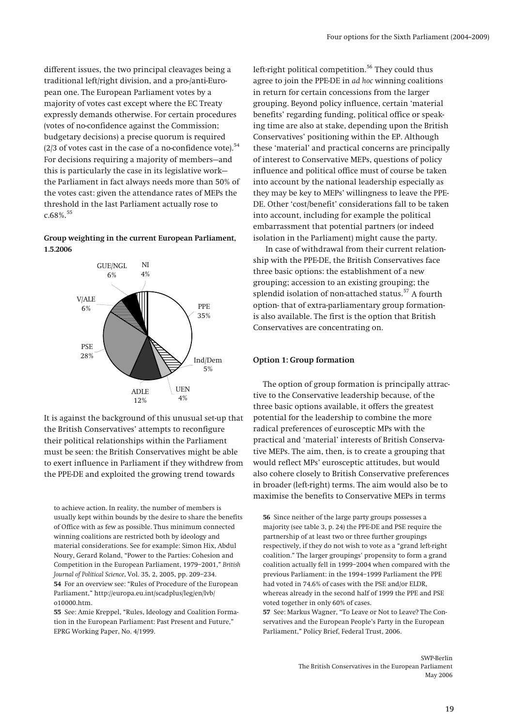different issues, the two principal cleavages being a traditional left/right division, and a pro-/anti-European one. The European Parliament votes by a majority of votes cast except where the EC Treaty expressly demands otherwise. For certain procedures (votes of no-confidence against the Commission; budgetary decisions) a precise quorum is required (2/3 of votes cast in the case of a no-confidence vote). $54$ For decisions requiring a majority of members—and this is particularly the case in its legislative work the Parliament in fact always needs more than 50% of the votes cast: given the attendance rates of MEPs the threshold in the last Parliament actually rose to  $c.68\%$ <sup>[55](#page-18-1)</sup>

## **Group weighting in the current European Parliament, 1.5.2006**



It is against the background of this unusual set-up that the British Conservatives' attempts to reconfigure their political relationships within the Parliament must be seen: the British Conservatives might be able to exert influence in Parliament if they withdrew from the PPE-DE and exploited the growing trend towards

<span id="page-18-2"></span>to achieve action. In reality, the number of members is usually kept within bounds by the desire to share the benefits of Office with as few as possible. Thus minimum connected winning coalitions are restricted both by ideology and material considerations. See for example: Simon Hix, Abdul Noury, Gerard Roland, "Power to the Parties: Cohesion and Competition in the European Parliament, 1979–2001," *British Journal of Political Science*, Vol. 35, 2, 2005, pp. 209–234. **54** For an overview see: "Rules of Procedure of the European Parliament," http://europa.eu.int/scadplus/leg/en/lvb/ o10000.htm.

<span id="page-18-1"></span><span id="page-18-0"></span>**55** See: Amie Kreppel, "Rules, Ideology and Coalition Formation in the European Parliament: Past Present and Future," EPRG Working Paper, No. 4/1999.

left-right political competition. [56](#page-18-2) They could thus agree to join the PPE-DE in *ad hoc* winning coalitions in return for certain concessions from the larger grouping. Beyond policy influence, certain 'material benefits' regarding funding, political office or speaking time are also at stake, depending upon the British Conservatives' positioning within the EP. Although these 'material' and practical concerns are principally of interest to Conservative MEPs, questions of policy influence and political office must of course be taken into account by the national leadership especially as they may be key to MEPs' willingness to leave the PPE-DE. Other 'cost/benefit' considerations fall to be taken into account, including for example the political embarrassment that potential partners (or indeed isolation in the Parliament) might cause the party.

In case of withdrawal from their current relationship with the PPE-DE, the British Conservatives face three basic options: the establishment of a new grouping; accession to an existing grouping; the splendid isolation of non-attached status.<sup>[57](#page-18-1)</sup> A fourth option- that of extra-parliamentary group formationis also available. The first is the option that British Conservatives are concentrating on.

#### **Option 1: Group formation**

The option of group formation is principally attractive to the Conservative leadership because, of the three basic options available, it offers the greatest potential for the leadership to combine the more radical preferences of eurosceptic MPs with the practical and 'material' interests of British Conservative MEPs. The aim, then, is to create a grouping that would reflect MPs' eurosceptic attitudes, but would also cohere closely to British Conservative preferences in broader (left-right) terms. The aim would also be to maximise the benefits to Conservative MEPs in terms

**56** Since neither of the large party groups possesses a majority (see table 3, p. 24) the PPE-DE and PSE require the partnership of at least two or three further groupings respectively, if they do not wish to vote as a "grand left-right coalition." The larger groupings' propensity to form a grand coalition actually fell in 1999–2004 when compared with the previous Parliament: in the 1994–1999 Parliament the PPE had voted in 74.6% of cases with the PSE and/or ELDR, whereas already in the second half of 1999 the PPE and PSE voted together in only 60% of cases.

**57** See: Markus Wagner, "To Leave or Not to Leave? The Conservatives and the European People's Party in the European Parliament," Policy Brief, Federal Trust, 2006.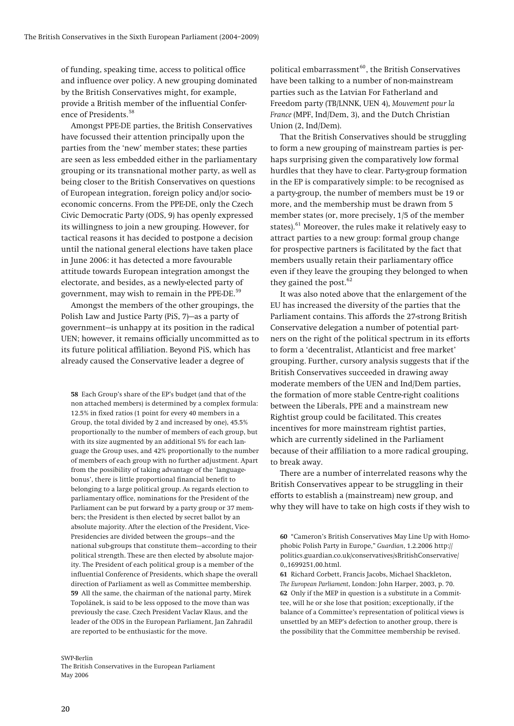of funding, speaking time, access to political office and influence over policy. A new grouping dominated by the British Conservatives might, for example, provide a British member of the influential Confer-ence of Presidents.<sup>[58](#page-19-0)</sup>

Amongst PPE-DE parties, the British Conservatives have focussed their attention principally upon the parties from the 'new' member states; these parties are seen as less embedded either in the parliamentary grouping or its transnational mother party, as well as being closer to the British Conservatives on questions of European integration, foreign policy and/or socioeconomic concerns. From the PPE-DE, only the Czech Civic Democratic Party (ODS, 9) has openly expressed its willingness to join a new grouping. However, for tactical reasons it has decided to postpone a decision until the national general elections have taken place in June 2006: it has detected a more favourable attitude towards European integration amongst the electorate, and besides, as a newly-elected party of government, may wish to remain in the PPE-DE.<sup>[59](#page-19-1)</sup>

Amongst the members of the other groupings, the Polish Law and Justice Party (PiS, 7)—as a party of government—is unhappy at its position in the radical UEN; however, it remains officially uncommitted as to its future political affiliation. Beyond PiS, which has already caused the Conservative leader a degree of

<span id="page-19-0"></span>**58** Each Group's share of the EP's budget (and that of the non attached members) is determined by a complex formula: 12.5% in fixed ratios (1 point for every 40 members in a Group, the total divided by 2 and increased by one), 45.5% proportionally to the number of members of each group, but with its size augmented by an additional 5% for each language the Group uses, and 42% proportionally to the number of members of each group with no further adjustment. Apart from the possibility of taking advantage of the 'languagebonus', there is little proportional financial benefit to belonging to a large political group. As regards election to parliamentary office, nominations for the President of the Parliament can be put forward by a party group or 37 members; the President is then elected by secret ballot by an absolute majority. After the election of the President, Vice-Presidencies are divided between the groups—and the national sub-groups that constitute them—according to their political strength. These are then elected by absolute majority. The President of each political group is a member of the influential Conference of Presidents, which shape the overall direction of Parliament as well as Committee membership. **59** All the same, the chairman of the national party, Mirek Topolánek, is said to be less opposed to the move than was previously the case. Czech President Vaclav Klaus, and the leader of the ODS in the European Parliament, Jan Zahradil are reported to be enthusiastic for the move.

<span id="page-19-3"></span><span id="page-19-2"></span><span id="page-19-1"></span>SWP-Berlin

The British Conservatives in the European Parliament May 2006

political embarrassment [60](#page-19-2), the British Conservatives have been talking to a number of non-mainstream parties such as the Latvian For Fatherland and Freedom party (TB/LNNK, UEN 4), *Mouvement pour la France* (MPF, Ind/Dem, 3), and the Dutch Christian Union (2, Ind/Dem).

That the British Conservatives should be struggling to form a new grouping of mainstream parties is perhaps surprising given the comparatively low formal hurdles that they have to clear. Party-group formation in the EP is comparatively simple: to be recognised as a party-group, the number of members must be 19 or more, and the membership must be drawn from 5 member states (or, more precisely, 1/5 of the member states).<sup>[61](#page-19-3)</sup> Moreover, the rules make it relatively easy to attract parties to a new group: formal group change for prospective partners is facilitated by the fact that members usually retain their parliamentary office even if they leave the grouping they belonged to when they gained the post. $62$ 

It was also noted above that the enlargement of the EU has increased the diversity of the parties that the Parliament contains. This affords the 27-strong British Conservative delegation a number of potential partners on the right of the political spectrum in its efforts to form a 'decentralist, Atlanticist and free market' grouping. Further, cursory analysis suggests that if the British Conservatives succeeded in drawing away moderate members of the UEN and Ind/Dem parties, the formation of more stable Centre-right coalitions between the Liberals, PPE and a mainstream new Rightist group could be facilitated. This creates incentives for more mainstream rightist parties, which are currently sidelined in the Parliament because of their affiliation to a more radical grouping, to break away.

There are a number of interrelated reasons why the British Conservatives appear to be struggling in their efforts to establish a (mainstream) new group, and why they will have to take on high costs if they wish to

**61** Richard Corbett, Francis Jacobs, Michael Shackleton, *The European Parliament*, London: John Harper, 2003, p. 70. **62** Only if the MEP in question is a substitute in a Committee, will he or she lose that position; exceptionally, if the balance of a Committee's representation of political views is unsettled by an MEP's defection to another group, there is the possibility that the Committee membership be revised.

**<sup>60</sup>** "Cameron's British Conservatives May Line Up with Homophobic Polish Party in Europe," *Guardian*, 1.2.2006 http:// politics.guardian.co.uk/conservatives/sBritishConservative/ 0,,1699251,00.html.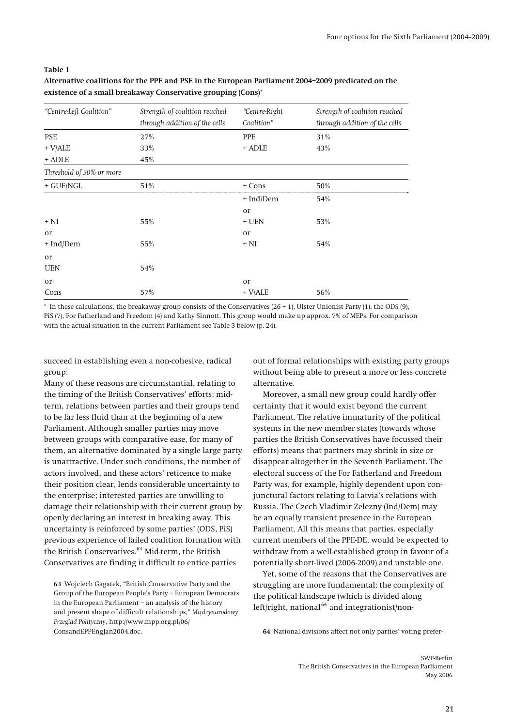#### <span id="page-20-2"></span>**Table 1**

## **Alternative coalitions for the PPE and PSE in the European Parliament 2004–2009 predicated on the existence of a small breakaway Conservative grouping (Cons)**\*

| "Centre-Left Coalition"  | Strength of coalition reached<br>through addition of the cells | "Centre-Right<br>Coalition" | Strength of coalition reached<br>through addition of the cells |
|--------------------------|----------------------------------------------------------------|-----------------------------|----------------------------------------------------------------|
| <b>PSE</b>               | 27%                                                            | <b>PPE</b>                  | 31%                                                            |
| $+$ V/ALE                | 33%                                                            | + ADLE                      | 43%                                                            |
| + ADLE                   | 45%                                                            |                             |                                                                |
| Threshold of 50% or more |                                                                |                             |                                                                |
| $+$ GUE/NGL              | 51%                                                            | + Cons                      | 50%                                                            |
|                          |                                                                | + Ind/Dem                   | 54%                                                            |
|                          |                                                                | or                          |                                                                |
| $+ NI$                   | 55%                                                            | $+$ UEN                     | 53%                                                            |
| or                       |                                                                | or                          |                                                                |
| + Ind/Dem                | 55%                                                            | $+ NI$                      | 54%                                                            |
| or                       |                                                                |                             |                                                                |
| <b>UEN</b>               | 54%                                                            |                             |                                                                |
| <b>Or</b>                |                                                                | or                          |                                                                |
| Cons                     | 57%                                                            | $+$ V/ALE                   | 56%                                                            |

\* In these calculations, the breakaway group consists of the Conservatives (26 + 1), Ulster Unionist Party (1), the ODS (9), PiS (7), For Fatherland and Freedom (4) and Kathy Sinnott. This group would make up approx. 7% of MEPs. For comparison with the actual situation in the current Parliament see Table 3 below (p. [24\)](#page-23-0).

succeed in establishing even a non-cohesive, radical group:

Many of these reasons are circumstantial, relating to the timing of the British Conservatives' efforts: midterm, relations between parties and their groups tend to be far less fluid than at the beginning of a new Parliament. Although smaller parties may move between groups with comparative ease, for many of them, an alternative dominated by a single large party is unattractive. Under such conditions, the number of actors involved, and these actors' reticence to make their position clear, lends considerable uncertainty to the enterprise; interested parties are unwilling to damage their relationship with their current group by openly declaring an interest in breaking away. This uncertainty is reinforced by some parties' (ODS, PiS) previous experience of failed coalition formation with the British Conservatives.<sup>[63](#page-20-0)</sup> Mid-term, the British Conservatives are finding it difficult to entice parties

<span id="page-20-1"></span><span id="page-20-0"></span>**63** Wojciech Gagatek, "British Conservative Party and the Group of the European People's Party – European Democrats in the European Parliament – an analysis of the history and present shape of difficult relationships," *Miçdzynarodowy Przeglad Polityczny*, http://www.mpp.org.pl/06/ ConsandEPPEngJan2004.doc.

out of formal relationships with existing party groups without being able to present a more or less concrete alternative.

Moreover, a small new group could hardly offer certainty that it would exist beyond the current Parliament. The relative immaturity of the political systems in the new member states (towards whose parties the British Conservatives have focussed their efforts) means that partners may shrink in size or disappear altogether in the Seventh Parliament. The electoral success of the For Fatherland and Freedom Party was, for example, highly dependent upon conjunctural factors relating to Latvia's relations with Russia. The Czech Vladimir Zelezny (Ind/Dem) may be an equally transient presence in the European Parliament. All this means that parties, especially current members of the PPE-DE, would be expected to withdraw from a well-established group in favour of a potentially short-lived (2006-2009) and unstable one.

Yet, some of the reasons that the Conservatives are struggling are more fundamental: the complexity of the political landscape (which is divided along left/right, national<sup>[64](#page-20-1)</sup> and integrationist/non-

**64** National divisions affect not only parties' voting prefer-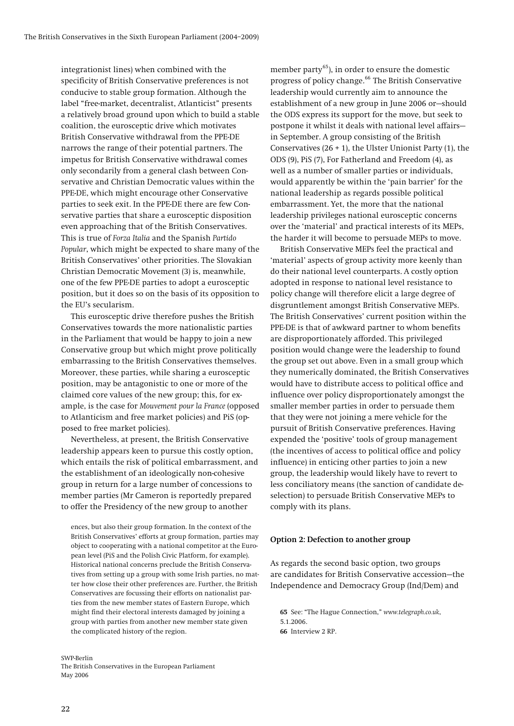<span id="page-21-0"></span>integrationist lines) when combined with the specificity of British Conservative preferences is not conducive to stable group formation. Although the label "free-market, decentralist, Atlanticist" presents a relatively broad ground upon which to build a stable coalition, the eurosceptic drive which motivates British Conservative withdrawal from the PPE-DE narrows the range of their potential partners. The impetus for British Conservative withdrawal comes only secondarily from a general clash between Conservative and Christian Democratic values within the PPE-DE, which might encourage other Conservative parties to seek exit. In the PPE-DE there are few Conservative parties that share a eurosceptic disposition even approaching that of the British Conservatives. This is true of *Forza Italia* and the Spanish *Partido Popular*, which might be expected to share many of the British Conservatives' other priorities. The Slovakian Christian Democratic Movement (3) is, meanwhile, one of the few PPE-DE parties to adopt a eurosceptic position, but it does so on the basis of its opposition to the EU's secularism.

This eurosceptic drive therefore pushes the British Conservatives towards the more nationalistic parties in the Parliament that would be happy to join a new Conservative group but which might prove politically embarrassing to the British Conservatives themselves. Moreover, these parties, while sharing a eurosceptic position, may be antagonistic to one or more of the claimed core values of the new group; this, for example, is the case for *Mouvement pour la France* (opposed to Atlanticism and free market policies) and PiS (opposed to free market policies).

Nevertheless, at present, the British Conservative leadership appears keen to pursue this costly option, which entails the risk of political embarrassment, and the establishment of an ideologically non-cohesive group in return for a large number of concessions to member parties (Mr Cameron is reportedly prepared to offer the Presidency of the new group to another

ences, but also their group formation. In the context of the British Conservatives' efforts at group formation, parties may object to cooperating with a national competitor at the European level (PiS and the Polish Civic Platform, for example). Historical national concerns preclude the British Conservatives from setting up a group with some Irish parties, no matter how close their other preferences are. Further, the British Conservatives are focussing their efforts on nationalist parties from the new member states of Eastern Europe, which might find their electoral interests damaged by joining a group with parties from another new member state given the complicated history of the region.

<span id="page-21-2"></span><span id="page-21-1"></span>SWP-Berlin

The British Conservatives in the European Parliament May 2006

member party [65](#page-21-1)), in order to ensure the domestic progress of policy change.<sup>[66](#page-21-2)</sup> The British Conservative leadership would currently aim to announce the establishment of a new group in June 2006 or—should the ODS express its support for the move, but seek to postpone it whilst it deals with national level affairs in September. A group consisting of the British Conservatives  $(26 + 1)$ , the Ulster Unionist Party  $(1)$ , the ODS (9), PiS (7), For Fatherland and Freedom (4), as well as a number of smaller parties or individuals, would apparently be within the 'pain barrier' for the national leadership as regards possible political embarrassment. Yet, the more that the national leadership privileges national eurosceptic concerns over the 'material' and practical interests of its MEPs, the harder it will become to persuade MEPs to move.

British Conservative MEPs feel the practical and 'material' aspects of group activity more keenly than do their national level counterparts. A costly option adopted in response to national level resistance to policy change will therefore elicit a large degree of disgruntlement amongst British Conservative MEPs. The British Conservatives' current position within the PPE-DE is that of awkward partner to whom benefits are disproportionately afforded. This privileged position would change were the leadership to found the group set out above. Even in a small group which they numerically dominated, the British Conservatives would have to distribute access to political office and influence over policy disproportionately amongst the smaller member parties in order to persuade them that they were not joining a mere vehicle for the pursuit of British Conservative preferences. Having expended the 'positive' tools of group management (the incentives of access to political office and policy influence) in enticing other parties to join a new group, the leadership would likely have to revert to less conciliatory means (the sanction of candidate deselection) to persuade British Conservative MEPs to comply with its plans.

#### **Option 2: Defection to another group**

As regards the second basic option, two groups are candidates for British Conservative accession—the Independence and Democracy Group (Ind/Dem) and

**65** See: "The Hague Connection," *www.telegraph.co.uk*, 5.1.2006. **66** Interview 2 RP.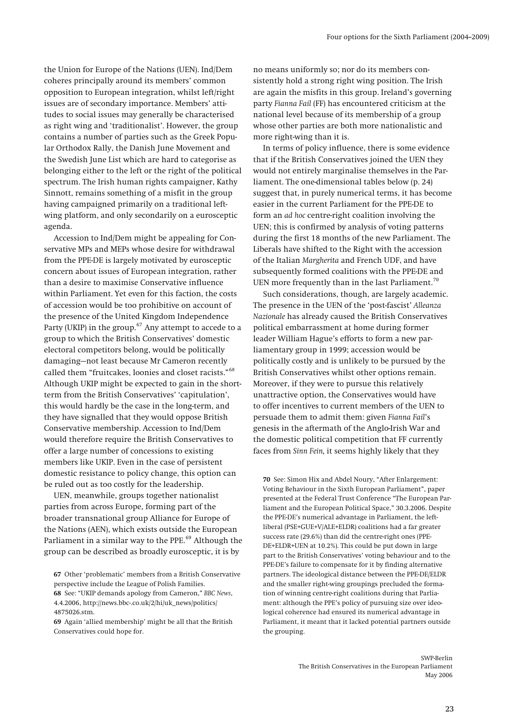the Union for Europe of the Nations (UEN). Ind/Dem coheres principally around its members' common opposition to European integration, whilst left/right issues are of secondary importance. Members' attitudes to social issues may generally be characterised as right wing and 'traditionalist'. However, the group contains a number of parties such as the Greek Popular Orthodox Rally, the Danish June Movement and the Swedish June List which are hard to categorise as belonging either to the left or the right of the political spectrum. The Irish human rights campaigner, Kathy Sinnott, remains something of a misfit in the group having campaigned primarily on a traditional leftwing platform, and only secondarily on a eurosceptic agenda.

Accession to Ind/Dem might be appealing for Conservative MPs and MEPs whose desire for withdrawal from the PPE-DE is largely motivated by eurosceptic concern about issues of European integration, rather than a desire to maximise Conservative influence within Parliament. Yet even for this faction, the costs of accession would be too prohibitive on account of the presence of the United Kingdom Independence Party (UKIP) in the group.<sup>[67](#page-22-0)</sup> Any attempt to accede to a group to which the British Conservatives' domestic electoral competitors belong, would be politically damaging—not least because Mr Cameron recently called them "fruitcakes, loonies and closet racists."[68](#page-22-1) Although UKIP might be expected to gain in the shortterm from the British Conservatives' 'capitulation', this would hardly be the case in the long-term, and they have signalled that they would oppose British Conservative membership. Accession to Ind/Dem would therefore require the British Conservatives to offer a large number of concessions to existing members like UKIP. Even in the case of persistent domestic resistance to policy change, this option can be ruled out as too costly for the leadership.

<span id="page-22-3"></span>UEN, meanwhile, groups together nationalist parties from across Europe, forming part of the broader transnational group Alliance for Europe of the Nations (AEN), which exists outside the European Parliament in a similar way to the PPE.<sup>[69](#page-22-2)</sup> Although the group can be described as broadly eurosceptic, it is by

<span id="page-22-1"></span>**68** See: "UKIP demands apology from Cameron," *BBC News*, 4.4.2006, http://news.bbc-.co.uk/2/hi/uk\_news/politics/ 4875026.stm.

no means uniformly so; nor do its members consistently hold a strong right wing position. The Irish are again the misfits in this group. Ireland's governing party *Fianna Fail* (FF) has encountered criticism at the national level because of its membership of a group whose other parties are both more nationalistic and more right-wing than it is.

In terms of policy influence, there is some evidence that if the British Conservatives joined the UEN they would not entirely marginalise themselves in the Parliament. The one-dimensional tables below (p. [24\)](#page-23-1) suggest that, in purely numerical terms, it has become easier in the current Parliament for the PPE-DE to form an *ad hoc* centre-right coalition involving the UEN; this is confirmed by analysis of voting patterns during the first 18 months of the new Parliament. The Liberals have shifted to the Right with the accession of the Italian *Margherita* and French UDF, and have subsequently formed coalitions with the PPE-DE and UEN more frequently than in the last Parliament.<sup>[70](#page-22-3)</sup>

Such considerations, though, are largely academic. The presence in the UEN of the 'post-fascist' *Alleanza Nazionale* has already caused the British Conservatives political embarrassment at home during former leader William Hague's efforts to form a new parliamentary group in 1999; accession would be politically costly and is unlikely to be pursued by the British Conservatives whilst other options remain. Moreover, if they were to pursue this relatively unattractive option, the Conservatives would have to offer incentives to current members of the UEN to persuade them to admit them: given *Fianna Fail*'s genesis in the aftermath of the Anglo-Irish War and the domestic political competition that FF currently faces from *Sinn Fein,* it seems highly likely that they

**70** See: Simon Hix and Abdel Noury, "After Enlargement: Voting Behaviour in the Sixth European Parliament", paper presented at the Federal Trust Conference "The European Parliament and the European Political Space," 30.3.2006. Despite the PPE-DE's numerical advantage in Parliament, the leftliberal (PSE+GUE+V/ALE+ELDR) coalitions had a far greater success rate (29.6%) than did the centre-right ones (PPE-DE+ELDR+UEN at 10.2%). This could be put down in large part to the British Conservatives' voting behaviour and to the PPE-DE's failure to compensate for it by finding alternative partners. The ideological distance between the PPE-DE/ELDR and the smaller right-wing groupings precluded the formation of winning centre-right coalitions during that Parliament: although the PPE's policy of pursuing size over ideological coherence had ensured its numerical advantage in Parliament, it meant that it lacked potential partners outside the grouping.

<span id="page-22-0"></span>**<sup>67</sup>** Other 'problematic' members from a British Conservative perspective include the League of Polish Families.

<span id="page-22-2"></span>**<sup>69</sup>** Again 'allied membership' might be all that the British Conservatives could hope for.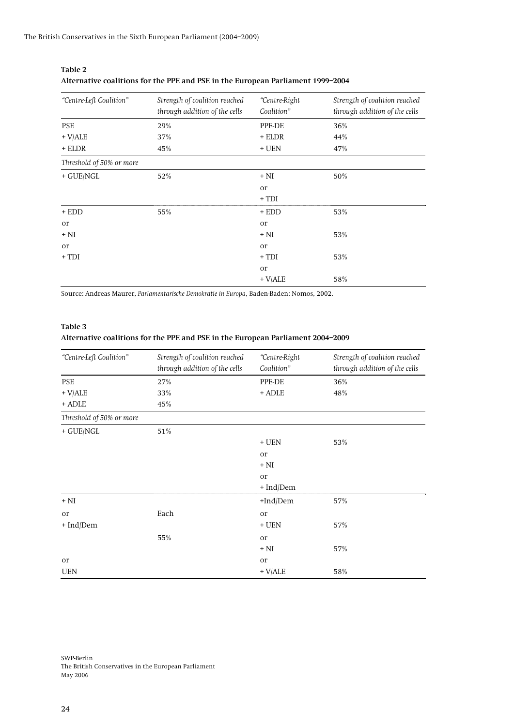| "Centre-Left Coalition"  | Strength of coalition reached<br>through addition of the cells | "Centre-Right<br>Coalition" | Strength of coalition reached<br>through addition of the cells |
|--------------------------|----------------------------------------------------------------|-----------------------------|----------------------------------------------------------------|
| <b>PSE</b>               | 29%                                                            | PPE-DE                      | 36%                                                            |
| $+$ V/ALE                | 37%                                                            | + ELDR                      | 44%                                                            |
| $+$ ELDR                 | 45%                                                            | $+$ UEN                     | 47%                                                            |
| Threshold of 50% or more |                                                                |                             |                                                                |
| $+$ GUE/NGL              | 52%                                                            | $+ NI$                      | 50%                                                            |
|                          |                                                                | or                          |                                                                |
|                          |                                                                | $+TDI$                      |                                                                |
| $+$ EDD                  | 55%                                                            | $+$ EDD                     | 53%                                                            |
| or                       |                                                                | or                          |                                                                |
| $+ NI$                   |                                                                | $+ NI$                      | 53%                                                            |
| <b>Or</b>                |                                                                | or                          |                                                                |
| $+ TDI$                  |                                                                | $+TDI$                      | 53%                                                            |
|                          |                                                                | or                          |                                                                |
|                          |                                                                | $+$ V/ALE                   | 58%                                                            |

<span id="page-23-1"></span>

| Table 2                                                                         |
|---------------------------------------------------------------------------------|
| Alternative coalitions for the PPE and PSE in the European Parliament 1999-2004 |

Source: Andreas Maurer, *Parlamentarische Demokratie in Europa*, Baden-Baden: Nomos, 2002.

#### <span id="page-23-0"></span>**Table 3**

## **Alternative coalitions for the PPE and PSE in the European Parliament 2004–2009**

| "Centre-Left Coalition"  | Strength of coalition reached<br>through addition of the cells | "Centre-Right<br>Coalition" | Strength of coalition reached<br>through addition of the cells |
|--------------------------|----------------------------------------------------------------|-----------------------------|----------------------------------------------------------------|
| PSE                      | 27%                                                            | PPE-DE                      | 36%                                                            |
| $+$ V/ALE                | 33%                                                            | + ADLE                      | 48%                                                            |
| + ADLE                   | 45%                                                            |                             |                                                                |
| Threshold of 50% or more |                                                                |                             |                                                                |
| $+$ GUE/NGL              | 51%                                                            |                             |                                                                |
|                          |                                                                | $+$ UEN                     | 53%                                                            |
|                          |                                                                | <b>Or</b>                   |                                                                |
|                          |                                                                | $+ NI$                      |                                                                |
|                          |                                                                | <b>Or</b>                   |                                                                |
|                          |                                                                | + Ind/Dem                   |                                                                |
| $+ NI$                   |                                                                | +Ind/Dem                    | 57%                                                            |
| <b>Or</b>                | Each                                                           | <b>Or</b>                   |                                                                |
| + Ind/Dem                |                                                                | $+$ UEN                     | 57%                                                            |
|                          | 55%                                                            | <b>or</b>                   |                                                                |
|                          |                                                                | $+ NI$                      | 57%                                                            |
| <b>Or</b>                |                                                                | <b>Or</b>                   |                                                                |
| <b>UEN</b>               |                                                                | $+$ V/ALE                   | 58%                                                            |

SWP-Berlin The British Conservatives in the European Parliament May 2006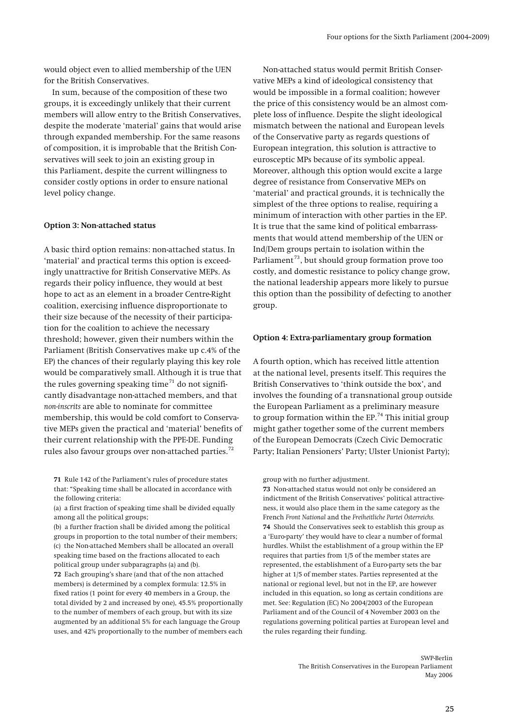<span id="page-24-0"></span>would object even to allied membership of the UEN for the British Conservatives.

In sum, because of the composition of these two groups, it is exceedingly unlikely that their current members will allow entry to the British Conservatives, despite the moderate 'material' gains that would arise through expanded membership. For the same reasons of composition, it is improbable that the British Conservatives will seek to join an existing group in this Parliament, despite the current willingness to consider costly options in order to ensure national level policy change.

#### **Option 3: Non-attached status**

A basic third option remains: non-attached status. In 'material' and practical terms this option is exceedingly unattractive for British Conservative MEPs. As regards their policy influence, they would at best hope to act as an element in a broader Centre-Right coalition, exercising influence disproportionate to their size because of the necessity of their participation for the coalition to achieve the necessary threshold; however, given their numbers within the Parliament (British Conservatives make up c.4% of the EP) the chances of their regularly playing this key role would be comparatively small. Although it is true that the rules governing speaking time<sup> $71$ </sup> do not significantly disadvantage non-attached members, and that *non-inscrits* are able to nominate for committee membership, this would be cold comfort to Conservative MEPs given the practical and 'material' benefits of their current relationship with the PPE-DE. Funding rules also favour groups over non-attached parties.<sup>[72](#page-24-2)</sup>

<span id="page-24-3"></span><span id="page-24-1"></span>**71** Rule 142 of the Parliament's rules of procedure states that: "Speaking time shall be allocated in accordance with the following criteria:

(a) a first fraction of speaking time shall be divided equally among all the political groups;

<span id="page-24-4"></span>(b) a further fraction shall be divided among the political groups in proportion to the total number of their members; (c) the Non-attached Members shall be allocated an overall speaking time based on the fractions allocated to each political group under subparagraphs (a) and (b).

<span id="page-24-2"></span>**72** Each grouping's share (and that of the non attached members) is determined by a complex formula: 12.5% in fixed ratios (1 point for every 40 members in a Group, the total divided by 2 and increased by one), 45.5% proportionally to the number of members of each group, but with its size augmented by an additional 5% for each language the Group uses, and 42% proportionally to the number of members each

Non-attached status would permit British Conservative MEPs a kind of ideological consistency that would be impossible in a formal coalition; however the price of this consistency would be an almost complete loss of influence. Despite the slight ideological mismatch between the national and European levels of the Conservative party as regards questions of European integration, this solution is attractive to eurosceptic MPs because of its symbolic appeal. Moreover, although this option would excite a large degree of resistance from Conservative MEPs on 'material' and practical grounds, it is technically the simplest of the three options to realise, requiring a minimum of interaction with other parties in the EP. It is true that the same kind of political embarrassments that would attend membership of the UEN or Ind/Dem groups pertain to isolation within the Parliament<sup>[73](#page-24-3)</sup>, but should group formation prove too costly, and domestic resistance to policy change grow, the national leadership appears more likely to pursue this option than the possibility of defecting to another group.

#### **Option 4: Extra-parliamentary group formation**

A fourth option, which has received little attention at the national level, presents itself. This requires the British Conservatives to 'think outside the box', and involves the founding of a transnational group outside the European Parliament as a preliminary measure to group formation within the  $EP<sup>74</sup>$  $EP<sup>74</sup>$  $EP<sup>74</sup>$ . This initial group might gather together some of the current members of the European Democrats (Czech Civic Democratic Party; Italian Pensioners' Party; Ulster Unionist Party);

group with no further adjustment.

**73** Non-attached status would not only be considered an indictment of the British Conservatives' political attractiveness, it would also place them in the same category as the French *Front National* and the *Freiheitliche Partei Österreichs.* **74** Should the Conservatives seek to establish this group as a 'Euro-party' they would have to clear a number of formal hurdles. Whilst the establishment of a group within the EP requires that parties from 1/5 of the member states are represented, the establishment of a Euro-party sets the bar higher at 1/5 of member states. Parties represented at the national or regional level, but not in the EP, are however included in this equation, so long as certain conditions are met. See: Regulation (EC) No 2004/2003 of the European Parliament and of the Council of 4 November 2003 on the regulations governing political parties at European level and the rules regarding their funding.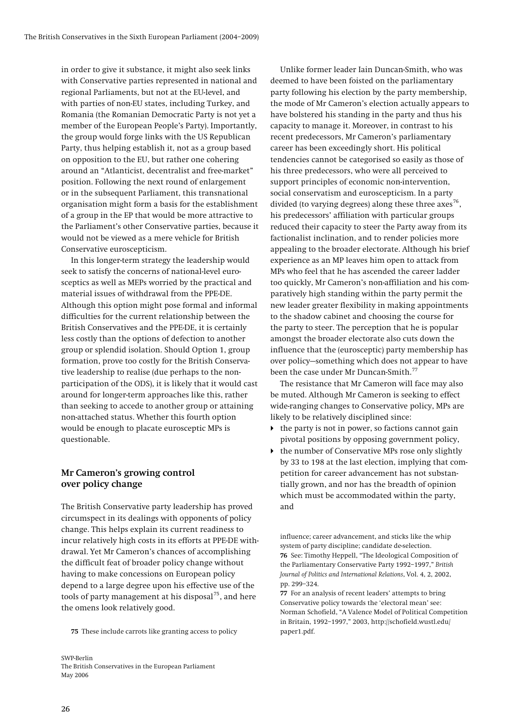<span id="page-25-0"></span>in order to give it substance, it might also seek links with Conservative parties represented in national and regional Parliaments, but not at the EU-level, and with parties of non-EU states, including Turkey, and Romania (the Romanian Democratic Party is not yet a member of the European People's Party). Importantly, the group would forge links with the US Republican Party, thus helping establish it, not as a group based on opposition to the EU, but rather one cohering around an "Atlanticist, decentralist and free-market" position. Following the next round of enlargement or in the subsequent Parliament, this transnational organisation might form a basis for the establishment of a group in the EP that would be more attractive to the Parliament's other Conservative parties, because it would not be viewed as a mere vehicle for British Conservative euroscepticism.

In this longer-term strategy the leadership would seek to satisfy the concerns of national-level eurosceptics as well as MEPs worried by the practical and material issues of withdrawal from the PPE-DE. Although this option might pose formal and informal difficulties for the current relationship between the British Conservatives and the PPE-DE, it is certainly less costly than the options of defection to another group or splendid isolation. Should Option 1, group formation, prove too costly for the British Conservative leadership to realise (due perhaps to the nonparticipation of the ODS), it is likely that it would cast around for longer-term approaches like this, rather than seeking to accede to another group or attaining non-attached status. Whether this fourth option would be enough to placate eurosceptic MPs is questionable.

## **Mr Cameron's growing control over policy change**

<span id="page-25-2"></span>The British Conservative party leadership has proved circumspect in its dealings with opponents of policy change. This helps explain its current readiness to incur relatively high costs in its efforts at PPE-DE withdrawal. Yet Mr Cameron's chances of accomplishing the difficult feat of broader policy change without having to make concessions on European policy depend to a large degree upon his effective use of the tools of party management at his disposal<sup>[75](#page-25-1)</sup>, and here the omens look relatively good.

<span id="page-25-3"></span><span id="page-25-1"></span>**75** These include carrots like granting access to policy

Unlike former leader Iain Duncan-Smith, who was deemed to have been foisted on the parliamentary party following his election by the party membership, the mode of Mr Cameron's election actually appears to have bolstered his standing in the party and thus his capacity to manage it. Moreover, in contrast to his recent predecessors, Mr Cameron's parliamentary career has been exceedingly short. His political tendencies cannot be categorised so easily as those of his three predecessors, who were all perceived to support principles of economic non-intervention, social conservatism and euroscepticism. In a party divided (to varying degrees) along these three  $a$ xes<sup>[76](#page-25-2)</sup>, his predecessors' affiliation with particular groups reduced their capacity to steer the Party away from its factionalist inclination, and to render policies more appealing to the broader electorate. Although his brief experience as an MP leaves him open to attack from MPs who feel that he has ascended the career ladder too quickly, Mr Cameron's non-affiliation and his comparatively high standing within the party permit the new leader greater flexibility in making appointments to the shadow cabinet and choosing the course for the party to steer. The perception that he is popular amongst the broader electorate also cuts down the influence that the (eurosceptic) party membership has over policy—something which does not appear to have been the case under Mr Duncan-Smith.<sup>[77](#page-25-3)</sup>

The resistance that Mr Cameron will face may also be muted. Although Mr Cameron is seeking to effect wide-ranging changes to Conservative policy, MPs are likely to be relatively disciplined since:

- $\blacktriangleright$  the party is not in power, so factions cannot gain pivotal positions by opposing government policy,
- the number of Conservative MPs rose only slightly by 33 to 198 at the last election, implying that competition for career advancement has not substantially grown, and nor has the breadth of opinion which must be accommodated within the party, and

influence; career advancement, and sticks like the whip system of party discipline; candidate de-selection. **76** See: Timothy Heppell, "The Ideological Composition of the Parliamentary Conservative Party 1992–1997," *British Journal of Politics and International Relations*, Vol. 4, 2, 2002, pp. 299–324.

**77** For an analysis of recent leaders' attempts to bring Conservative policy towards the 'electoral mean' see: Norman Schofield, "A Valence Model of Political Competition in Britain, 1992–1997," 2003, http://schofield.wustl.edu/ paper1.pdf.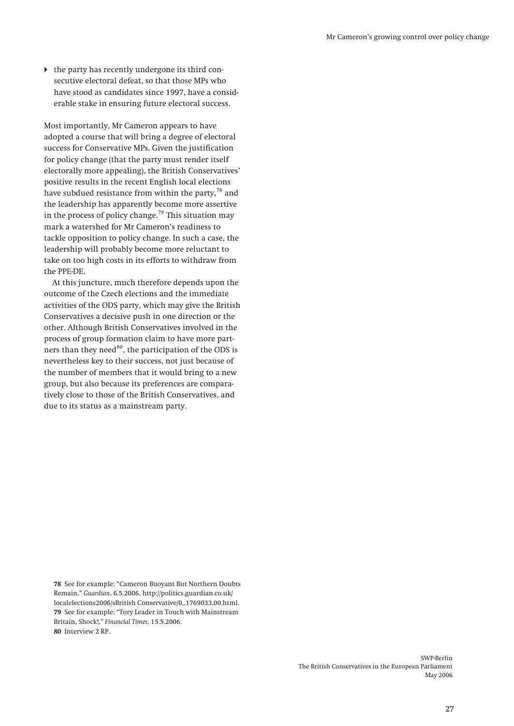$\blacktriangleright$  the party has recently undergone its third consecutive electoral defeat, so that those MPs who have stood as candidates since 1997, have a considerable stake in ensuring future electoral success.

Most importantly, Mr Cameron appears to have adopted a course that will bring a degree of electoral success for Conservative MPs. Given the justification for policy change (that the party must render itself electorally more appealing), the British Conservatives' positive results in the recent English local elections have subdued resistance from within the party, $78$  and the leadership has apparently become more assertive in the process of policy change.<sup>[79](#page-26-1)</sup> This situation may mark a watershed for Mr Cameron's readiness to tackle opposition to policy change. In such a case, the leadership will probably become more reluctant to take on too high costs in its efforts to withdraw from the PPE-DE.

At this juncture, much therefore depends upon the outcome of the Czech elections and the immediate activities of the ODS party, which may give the British Conservatives a decisive push in one direction or the other. Although British Conservatives involved in the process of group formation claim to have more part-ners than they need<sup>[80](#page-26-2)</sup>, the participation of the ODS is nevertheless key to their success, not just because of the number of members that it would bring to a new group, but also because its preferences are comparatively close to those of the British Conservatives, and due to its status as a mainstream party.

<span id="page-26-2"></span><span id="page-26-1"></span><span id="page-26-0"></span>**78** See for example: "Cameron Buoyant But Northern Doubts Remain," *Guardian*, 6.5.2006, http://politics.guardian.co.uk/ localelections2006/sBritish Conservative/0,,1769033,00.html. **79** See for example: "Tory Leader in Touch with Mainstream Britain, Shock!," *Financial Times*, 15.5.2006. **80** Interview 2 RP.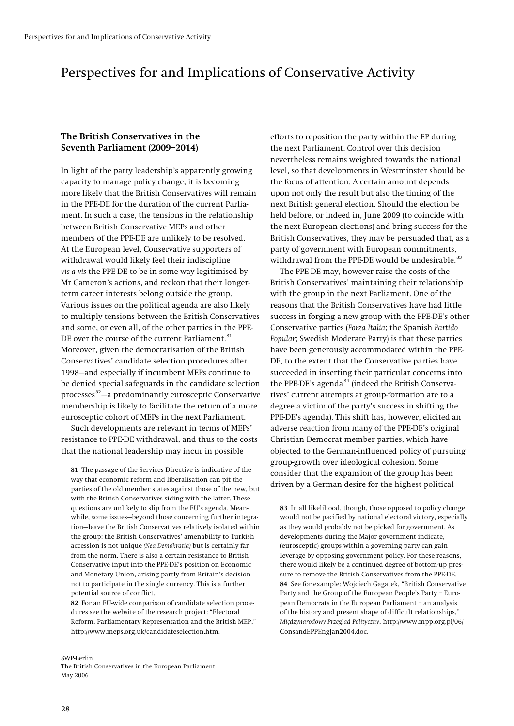## <span id="page-27-0"></span>Perspectives for and Implications of Conservative Activity

## **The British Conservatives in the Seventh Parliament (2009–2014)**

In light of the party leadership's apparently growing capacity to manage policy change, it is becoming more likely that the British Conservatives will remain in the PPE-DE for the duration of the current Parliament. In such a case, the tensions in the relationship between British Conservative MEPs and other members of the PPE-DE are unlikely to be resolved. At the European level, Conservative supporters of withdrawal would likely feel their indiscipline *vis a vis* the PPE-DE to be in some way legitimised by Mr Cameron's actions, and reckon that their longerterm career interests belong outside the group. Various issues on the political agenda are also likely to multiply tensions between the British Conservatives and some, or even all, of the other parties in the PPE-DE over the course of the current Parliament.<sup>[81](#page-27-1)</sup> Moreover, given the democratisation of the British Conservatives' candidate selection procedures after 1998—and especially if incumbent MEPs continue to be denied special safeguards in the candidate selection processes $82 82-$ a predominantly eurosceptic Conservative membership is likely to facilitate the return of a more eurosceptic cohort of MEPs in the next Parliament.

Such developments are relevant in terms of MEPs' resistance to PPE-DE withdrawal, and thus to the costs that the national leadership may incur in possible

<span id="page-27-3"></span><span id="page-27-1"></span>**81** The passage of the Services Directive is indicative of the way that economic reform and liberalisation can pit the parties of the old member states against those of the new, but with the British Conservatives siding with the latter. These questions are unlikely to slip from the EU's agenda. Meanwhile, some issues—beyond those concerning further integration—leave the British Conservatives relatively isolated within the group: the British Conservatives' amenability to Turkish accession is not unique *(Nea Demokratia)* but is certainly far from the norm. There is also a certain resistance to British Conservative input into the PPE-DE's position on Economic and Monetary Union, arising partly from Britain's decision not to participate in the single currency. This is a further potential source of conflict.

<span id="page-27-4"></span><span id="page-27-2"></span>**82** For an EU-wide comparison of candidate selection procedures see the website of the research project: "Electoral Reform, Parliamentary Representation and the British MEP," http://www.meps.org.uk/candidateselection.htm.

#### SWP-Berlin

The British Conservatives in the European Parliament May 2006

efforts to reposition the party within the EP during the next Parliament. Control over this decision nevertheless remains weighted towards the national level, so that developments in Westminster should be the focus of attention. A certain amount depends upon not only the result but also the timing of the next British general election. Should the election be held before, or indeed in, June 2009 (to coincide with the next European elections) and bring success for the British Conservatives, they may be persuaded that, as a party of government with European commitments, withdrawal from the PPE-DE would be undesirable.<sup>[83](#page-27-3)</sup>

The PPE-DE may, however raise the costs of the British Conservatives' maintaining their relationship with the group in the next Parliament. One of the reasons that the British Conservatives have had little success in forging a new group with the PPE-DE's other Conservative parties (*Forza Italia*; the Spanish *Partido Popular*; Swedish Moderate Party) is that these parties have been generously accommodated within the PPE-DE, to the extent that the Conservative parties have succeeded in inserting their particular concerns into the PPE-DE's agenda<sup>[84](#page-27-4)</sup> (indeed the British Conservatives' current attempts at group-formation are to a degree a victim of the party's success in shifting the PPE-DE's agenda). This shift has, however, elicited an adverse reaction from many of the PPE-DE's original Christian Democrat member parties, which have objected to the German-influenced policy of pursuing group-growth over ideological cohesion. Some consider that the expansion of the group has been driven by a German desire for the highest political

**83** In all likelihood, though, those opposed to policy change would not be pacified by national electoral victory, especially as they would probably not be picked for government. As developments during the Major government indicate, (eurosceptic) groups within a governing party can gain leverage by opposing government policy. For these reasons, there would likely be a continued degree of bottom-up pressure to remove the British Conservatives from the PPE-DE. **84** See for example: Wojciech Gagatek, "British Conservative Party and the Group of the European People's Party – European Democrats in the European Parliament – an analysis of the history and present shape of difficult relationships," *Miçdzynarodowy Przeglad Polityczny*, http://www.mpp.org.pl/06/ ConsandEPPEngJan2004.doc.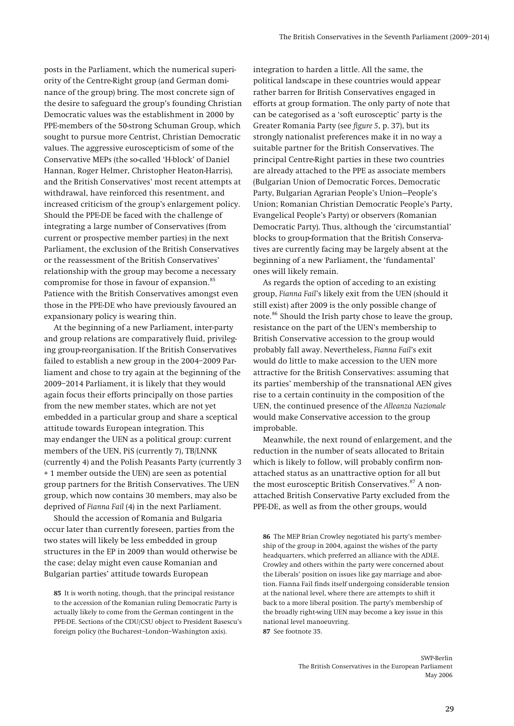posts in the Parliament, which the numerical superiority of the Centre-Right group (and German dominance of the group) bring. The most concrete sign of the desire to safeguard the group's founding Christian Democratic values was the establishment in 2000 by PPE-members of the 50-strong Schuman Group, which sought to pursue more Centrist, Christian Democratic values. The aggressive euroscepticism of some of the Conservative MEPs (the so-called 'H-block' of Daniel Hannan, Roger Helmer, Christopher Heaton-Harris), and the British Conservatives' most recent attempts at withdrawal, have reinforced this resentment, and increased criticism of the group's enlargement policy. Should the PPE-DE be faced with the challenge of integrating a large number of Conservatives (from current or prospective member parties) in the next Parliament, the exclusion of the British Conservatives or the reassessment of the British Conservatives' relationship with the group may become a necessary compromise for those in favour of expansion.<sup>[85](#page-28-0)</sup> Patience with the British Conservatives amongst even those in the PPE-DE who have previously favoured an expansionary policy is wearing thin.

At the beginning of a new Parliament, inter-party and group relations are comparatively fluid, privileging group-reorganisation. If the British Conservatives failed to establish a new group in the 2004–2009 Parliament and chose to try again at the beginning of the 2009–2014 Parliament, it is likely that they would again focus their efforts principally on those parties from the new member states, which are not yet embedded in a particular group and share a sceptical attitude towards European integration. This may endanger the UEN as a political group: current members of the UEN, PiS (currently 7), TB/LNNK (currently 4) and the Polish Peasants Party (currently 3 + 1 member outside the UEN) are seen as potential group partners for the British Conservatives. The UEN group, which now contains 30 members, may also be deprived of *Fianna Fail* (4) in the next Parliament.

<span id="page-28-1"></span>Should the accession of Romania and Bulgaria occur later than currently foreseen, parties from the two states will likely be less embedded in group structures in the EP in 2009 than would otherwise be the case; delay might even cause Romanian and Bulgarian parties' attitude towards European

<span id="page-28-2"></span><span id="page-28-0"></span>**85** It is worth noting, though, that the principal resistance to the accession of the Romanian ruling Democratic Party is actually likely to come from the German contingent in the PPE-DE. Sections of the CDU/CSU object to President Basescu's foreign policy (the Bucharest–London–Washington axis).

integration to harden a little. All the same, the political landscape in these countries would appear rather barren for British Conservatives engaged in efforts at group formation. The only party of note that can be categorised as a 'soft eurosceptic' party is the Greater Romania Party (see *figure 5*, p. [37](#page-36-0)), but its strongly nationalist preferences make it in no way a suitable partner for the British Conservatives. The principal Centre-Right parties in these two countries are already attached to the PPE as associate members (Bulgarian Union of Democratic Forces, Democratic Party, Bulgarian Agrarian People's Union—People's Union; Romanian Christian Democratic People's Party, Evangelical People's Party) or observers (Romanian Democratic Party). Thus, although the 'circumstantial' blocks to group-formation that the British Conservatives are currently facing may be largely absent at the beginning of a new Parliament, the 'fundamental' ones will likely remain.

As regards the option of acceding to an existing group, *Fianna Fail*'s likely exit from the UEN (should it still exist) after 2009 is the only possible change of note.<sup>[86](#page-28-1)</sup> Should the Irish party chose to leave the group, resistance on the part of the UEN's membership to British Conservative accession to the group would probably fall away. Nevertheless, *Fianna Fail*'s exit would do little to make accession to the UEN more attractive for the British Conservatives: assuming that its parties' membership of the transnational AEN gives rise to a certain continuity in the composition of the UEN, the continued presence of the *Alleanza Nazionale* would make Conservative accession to the group improbable.

Meanwhile, the next round of enlargement, and the reduction in the number of seats allocated to Britain which is likely to follow, will probably confirm nonattached status as an unattractive option for all but the most eurosceptic British Conservatives.<sup>[87](#page-28-2)</sup> A nonattached British Conservative Party excluded from the PPE-DE, as well as from the other groups, would

**86** The MEP Brian Crowley negotiated his party's membership of the group in 2004, against the wishes of the party headquarters, which preferred an alliance with the ADLE. Crowley and others within the party were concerned about the Liberals' position on issues like gay marriage and abortion. Fianna Fail finds itself undergoing considerable tension at the national level, where there are attempts to shift it back to a more liberal position. The party's membership of the broadly right-wing UEN may become a key issue in this national level manoeuvring. **87** See footnote 35.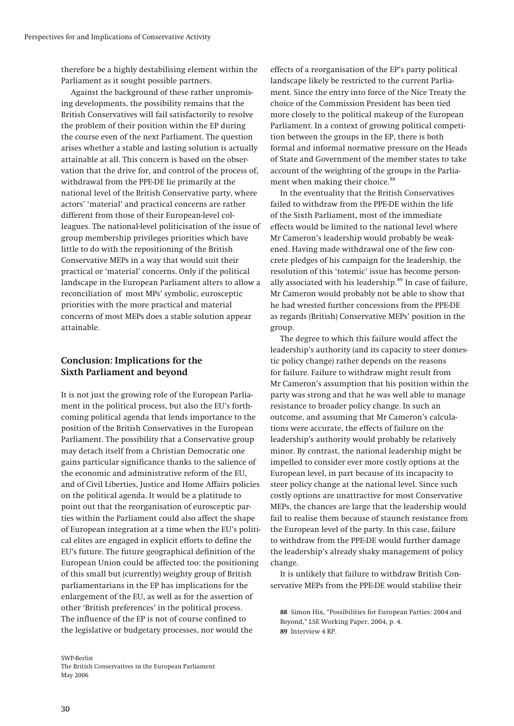<span id="page-29-0"></span>therefore be a highly destabilising element within the Parliament as it sought possible partners.

Against the background of these rather unpromising developments, the possibility remains that the British Conservatives will fail satisfactorily to resolve the problem of their position within the EP during the course even of the next Parliament. The question arises whether a stable and lasting solution is actually attainable at all. This concern is based on the observation that the drive for, and control of the process of, withdrawal from the PPE-DE lie primarily at the national level of the British Conservative party, where actors' 'material' and practical concerns are rather different from those of their European-level colleagues. The national-level politicisation of the issue of group membership privileges priorities which have little to do with the repositioning of the British Conservative MEPs in a way that would suit their practical or 'material' concerns. Only if the political landscape in the European Parliament alters to allow a reconciliation of most MPs' symbolic, eurosceptic priorities with the more practical and material concerns of most MEPs does a stable solution appear attainable.

## **Conclusion: Implications for the Sixth Parliament and beyond**

It is not just the growing role of the European Parliament in the political process, but also the EU's forthcoming political agenda that lends importance to the position of the British Conservatives in the European Parliament. The possibility that a Conservative group may detach itself from a Christian Democratic one gains particular significance thanks to the salience of the economic and administrative reform of the EU, and of Civil Liberties, Justice and Home Affairs policies on the political agenda. It would be a platitude to point out that the reorganisation of eurosceptic parties within the Parliament could also affect the shape of European integration at a time when the EU's political elites are engaged in explicit efforts to define the EU's future. The future geographical definition of the European Union could be affected too: the positioning of this small but (currently) weighty group of British parliamentarians in the EP has implications for the enlargement of the EU, as well as for the assertion of other 'British preferences' in the political process. The influence of the EP is not of course confined to the legislative or budgetary processes, nor would the

<span id="page-29-2"></span><span id="page-29-1"></span>SWP-Berlin The British Conservatives in the European Parliament May 2006

effects of a reorganisation of the EP's party political landscape likely be restricted to the current Parliament. Since the entry into force of the Nice Treaty the choice of the Commission President has been tied more closely to the political makeup of the European Parliament. In a context of growing political competition between the groups in the EP, there is both formal and informal normative pressure on the Heads of State and Government of the member states to take account of the weighting of the groups in the Parlia-ment when making their choice.<sup>[88](#page-29-1)</sup>

In the eventuality that the British Conservatives failed to withdraw from the PPE-DE within the life of the Sixth Parliament, most of the immediate effects would be limited to the national level where Mr Cameron's leadership would probably be weakened. Having made withdrawal one of the few concrete pledges of his campaign for the leadership, the resolution of this 'totemic' issue has become person-ally associated with his leadership.<sup>[89](#page-29-2)</sup> In case of failure, Mr Cameron would probably not be able to show that he had wrested further concessions from the PPE-DE as regards (British) Conservative MEPs' position in the group.

The degree to which this failure would affect the leadership's authority (and its capacity to steer domestic policy change) rather depends on the reasons for failure. Failure to withdraw might result from Mr Cameron's assumption that his position within the party was strong and that he was well able to manage resistance to broader policy change. In such an outcome, and assuming that Mr Cameron's calculations were accurate, the effects of failure on the leadership's authority would probably be relatively minor. By contrast, the national leadership might be impelled to consider ever more costly options at the European level, in part because of its incapacity to steer policy change at the national level. Since such costly options are unattractive for most Conservative MEPs, the chances are large that the leadership would fail to realise them because of staunch resistance from the European level of the party. In this case, failure to withdraw from the PPE-DE would further damage the leadership's already shaky management of policy change.

It is unlikely that failure to withdraw British Conservative MEPs from the PPE-DE would stabilise their

**88** Simon Hix, "Possibilities for European Parties: 2004 and Beyond," LSE Working Paper, 2004, p. 4. **89** Interview 4 RP.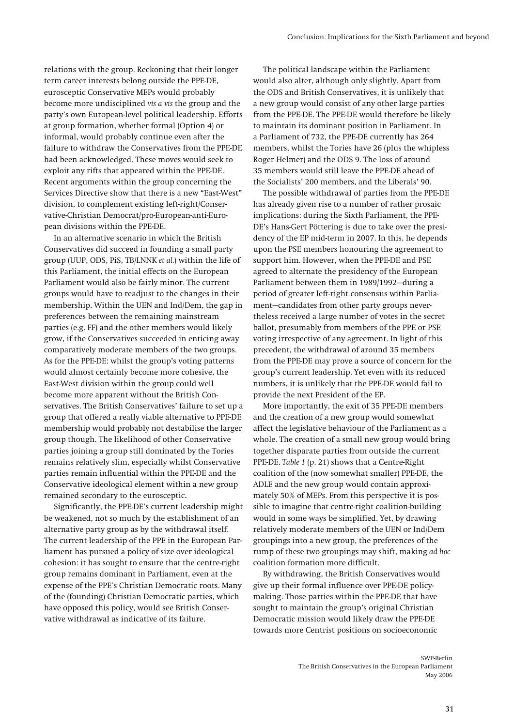relations with the group. Reckoning that their longer term career interests belong outside the PPE-DE, eurosceptic Conservative MEPs would probably become more undisciplined *vis a vis* the group and the party's own European-level political leadership. Efforts at group formation, whether formal (Option 4) or informal, would probably continue even after the failure to withdraw the Conservatives from the PPE-DE had been acknowledged. These moves would seek to exploit any rifts that appeared within the PPE-DE. Recent arguments within the group concerning the Services Directive show that there is a new "East-West" division, to complement existing left-right/Conservative-Christian Democrat/pro-European-anti-European divisions within the PPE-DE.

In an alternative scenario in which the British Conservatives did succeed in founding a small party group (UUP, ODS, PiS, TB/LNNK *et al.*) within the life of this Parliament, the initial effects on the European Parliament would also be fairly minor. The current groups would have to readjust to the changes in their membership. Within the UEN and Ind/Dem, the gap in preferences between the remaining mainstream parties (e.g. FF) and the other members would likely grow, if the Conservatives succeeded in enticing away comparatively moderate members of the two groups. As for the PPE-DE: whilst the group's voting patterns would almost certainly become more cohesive, the East-West division within the group could well become more apparent without the British Conservatives. The British Conservatives' failure to set up a group that offered a really viable alternative to PPE-DE membership would probably not destabilise the larger group though. The likelihood of other Conservative parties joining a group still dominated by the Tories remains relatively slim, especially whilst Conservative parties remain influential within the PPE-DE and the Conservative ideological element within a new group remained secondary to the eurosceptic**.** 

Significantly, the PPE-DE's current leadership might be weakened, not so much by the establishment of an alternative party group as by the withdrawal itself. The current leadership of the PPE in the European Parliament has pursued a policy of size over ideological cohesion: it has sought to ensure that the centre-right group remains dominant in Parliament, even at the expense of the PPE's Christian Democratic roots. Many of the (founding) Christian Democratic parties, which have opposed this policy, would see British Conservative withdrawal as indicative of its failure.

The political landscape within the Parliament would also alter, although only slightly. Apart from the ODS and British Conservatives, it is unlikely that a new group would consist of any other large parties from the PPE-DE. The PPE-DE would therefore be likely to maintain its dominant position in Parliament. In a Parliament of 732, the PPE-DE currently has 264 members, whilst the Tories have 26 (plus the whipless Roger Helmer) and the ODS 9. The loss of around 35 members would still leave the PPE-DE ahead of the Socialists' 200 members, and the Liberals' 90.

The possible withdrawal of parties from the PPE-DE has already given rise to a number of rather prosaic implications: during the Sixth Parliament, the PPE-DE's Hans-Gert Pöttering is due to take over the presidency of the EP mid-term in 2007. In this, he depends upon the PSE members honouring the agreement to support him. However, when the PPE-DE and PSE agreed to alternate the presidency of the European Parliament between them in 1989/1992—during a period of greater left-right consensus within Parliament—candidates from other party groups nevertheless received a large number of votes in the secret ballot, presumably from members of the PPE or PSE voting irrespective of any agreement. In light of this precedent, the withdrawal of around 35 members from the PPE-DE may prove a source of concern for the group's current leadership. Yet even with its reduced numbers, it is unlikely that the PPE-DE would fail to provide the next President of the EP.

More importantly, the exit of 35 PPE-DE members and the creation of a new group would somewhat affect the legislative behaviour of the Parliament as a whole. The creation of a small new group would bring together disparate parties from outside the current PPE-DE. *Table 1* (p. [21\)](#page-20-2) shows that a Centre-Right coalition of the (now somewhat smaller) PPE-DE, the ADLE and the new group would contain approximately 50% of MEPs. From this perspective it is possible to imagine that centre-right coalition-building would in some ways be simplified. Yet, by drawing relatively moderate members of the UEN or Ind/Dem groupings into a new group, the preferences of the rump of these two groupings may shift, making *ad hoc* coalition formation more difficult.

By withdrawing, the British Conservatives would give up their formal influence over PPE-DE policymaking. Those parties within the PPE-DE that have sought to maintain the group's original Christian Democratic mission would likely draw the PPE-DE towards more Centrist positions on socioeconomic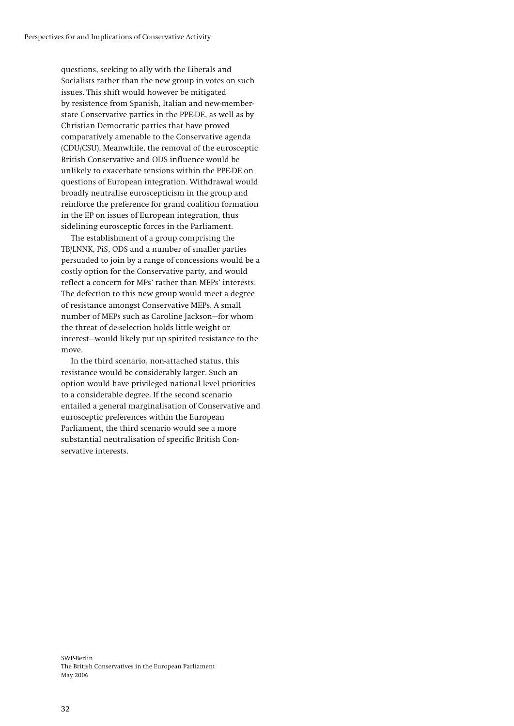questions, seeking to ally with the Liberals and Socialists rather than the new group in votes on such issues. This shift would however be mitigated by resistence from Spanish, Italian and new-memberstate Conservative parties in the PPE-DE, as well as by Christian Democratic parties that have proved comparatively amenable to the Conservative agenda (CDU/CSU). Meanwhile, the removal of the eurosceptic British Conservative and ODS influence would be unlikely to exacerbate tensions within the PPE-DE on questions of European integration. Withdrawal would broadly neutralise euroscepticism in the group and reinforce the preference for grand coalition formation in the EP on issues of European integration, thus sidelining eurosceptic forces in the Parliament.

The establishment of a group comprising the TB/LNNK, PiS, ODS and a number of smaller parties persuaded to join by a range of concessions would be a costly option for the Conservative party, and would reflect a concern for MPs' rather than MEPs' interests. The defection to this new group would meet a degree of resistance amongst Conservative MEPs. A small number of MEPs such as Caroline Jackson—for whom the threat of de-selection holds little weight or interest—would likely put up spirited resistance to the move.

In the third scenario, non-attached status, this resistance would be considerably larger. Such an option would have privileged national level priorities to a considerable degree. If the second scenario entailed a general marginalisation of Conservative and eurosceptic preferences within the European Parliament, the third scenario would see a more substantial neutralisation of specific British Conservative interests.

SWP-Berlin The British Conservatives in the European Parliament May 2006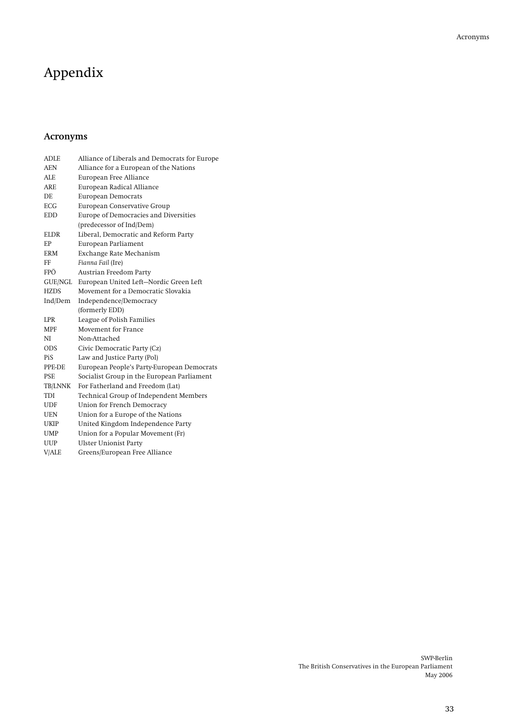# <span id="page-32-0"></span>Appendix

## **Acronyms**

| <b>ADLE</b> | Alliance of Liberals and Democrats for Europe |
|-------------|-----------------------------------------------|
| <b>AEN</b>  | Alliance for a European of the Nations        |
| ALE         | European Free Alliance                        |
| <b>ARE</b>  | European Radical Alliance                     |
| DE.         | <b>European Democrats</b>                     |
| <b>ECG</b>  | European Conservative Group                   |
| <b>EDD</b>  | Europe of Democracies and Diversities         |
|             | (predecessor of Ind/Dem)                      |
| <b>ELDR</b> | Liberal, Democratic and Reform Party          |
| EP          | European Parliament                           |
| <b>ERM</b>  | Exchange Rate Mechanism                       |
| FF          | Fianna Fail (Ire)                             |
| FPÖ         | Austrian Freedom Party                        |
| GUE/NGL     | European United Left-Nordic Green Left        |
| <b>HZDS</b> | Movement for a Democratic Slovakia            |
| Ind/Dem     | Independence/Democracy                        |
|             | (formerly EDD)                                |
| <b>LPR</b>  | League of Polish Families                     |
| <b>MPF</b>  | Movement for France                           |
| NI          | Non-Attached                                  |
| <b>ODS</b>  | Civic Democratic Party (Cz)                   |
| PiS         | Law and Justice Party (Pol)                   |
| PPE-DE      | European People's Party-European Democrats    |
| <b>PSE</b>  | Socialist Group in the European Parliament    |
| TB/LNNK     | For Fatherland and Freedom (Lat)              |
| TDI         | Technical Group of Independent Members        |
| UDF         | Union for French Democracy                    |
| <b>UEN</b>  | Union for a Europe of the Nations             |
| <b>UKIP</b> | United Kingdom Independence Party             |
| <b>UMP</b>  | Union for a Popular Movement (Fr)             |
| <b>UUP</b>  | <b>Ulster Unionist Party</b>                  |
| V/ALE       | Greens/European Free Alliance                 |
|             |                                               |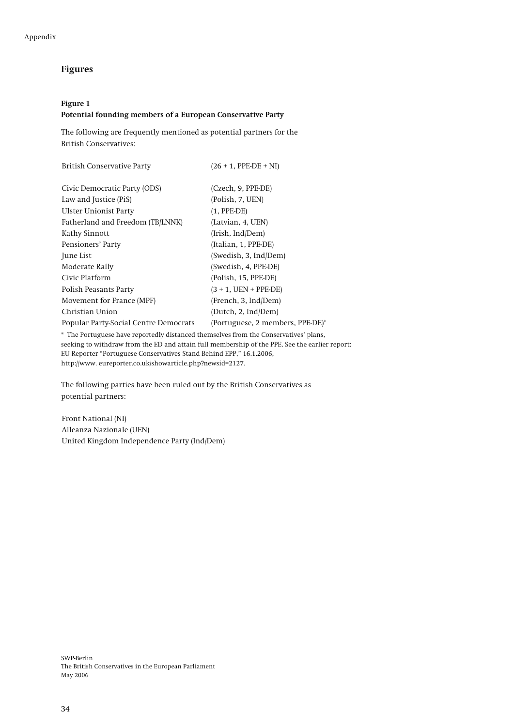## <span id="page-33-0"></span>**Figures**

### **Figure 1**

#### **Potential founding members of a European Conservative Party**

The following are frequently mentioned as potential partners for the British Conservatives:

| $(26 + 1,$ PPE-DE + NI)          |
|----------------------------------|
| (Czech, 9, PPE-DE)               |
| (Polish, 7, UEN)                 |
| $(1, PPE-DE)$                    |
| (Latvian, 4, UEN)                |
| (Irish, Ind/Dem)                 |
| (Italian, 1, PPE-DE)             |
| (Swedish, 3, Ind/Dem)            |
| (Swedish, 4, PPE-DE)             |
| (Polish, 15, PPE-DE)             |
| $(3 + 1, UEN + PPE-DE)$          |
| (French, 3, Ind/Dem)             |
| (Dutch, 2, Ind/Dem)              |
| (Portuguese, 2 members, PPE-DE)* |
|                                  |

\* The Portuguese have reportedly distanced themselves from the Conservatives' plans, seeking to withdraw from the ED and attain full membership of the PPE. See the earlier report: EU Reporter "Portuguese Conservatives Stand Behind EPP," 16.1.2006, http://www. eureporter.co.uk/showarticle.php?newsid=2127.

The following parties have been ruled out by the British Conservatives as potential partners:

Front National (NI) Alleanza Nazionale (UEN) United Kingdom Independence Party (Ind/Dem)

SWP-Berlin The British Conservatives in the European Parliament May 2006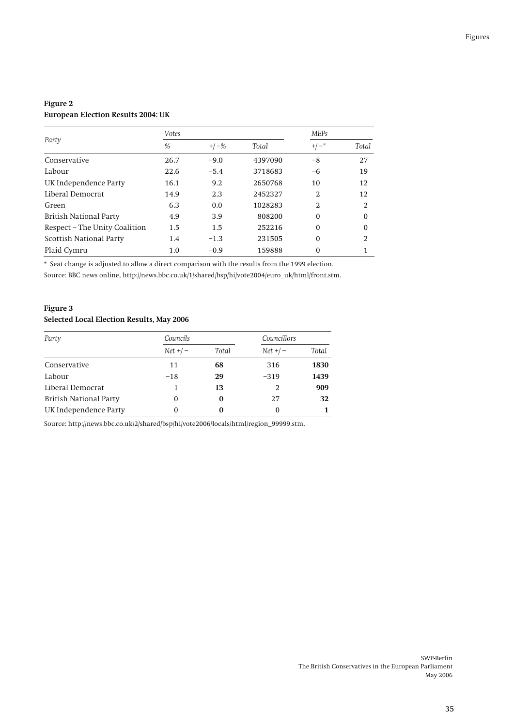## <span id="page-34-0"></span>**Figure 2 European Election Results 2004: UK**

|                               | Votes |         |         | <b>MEPs</b>    |               |
|-------------------------------|-------|---------|---------|----------------|---------------|
| Party                         | %     | $+/-\%$ | Total   | $+/-$          | Total         |
| Conservative                  | 26.7  | $-9.0$  | 4397090 | -8             | 27            |
| Labour                        | 22.6  | $-5.4$  | 3718683 | -6             | 19            |
| UK Independence Party         | 16.1  | 9.2     | 2650768 | 10             | 12            |
| Liberal Democrat              | 14.9  | 2.3     | 2452327 | $\overline{2}$ | 12            |
| Green                         | 6.3   | 0.0     | 1028283 | $\overline{2}$ | $\mathcal{L}$ |
| <b>British National Party</b> | 4.9   | 3.9     | 808200  | $\Omega$       | $\Omega$      |
| Respect – The Unity Coalition | 1.5   | 1.5     | 252216  | $\mathbf{0}$   | $\Omega$      |
| Scottish National Party       | 1.4   | $-1.3$  | 231505  | $\Omega$       | 2             |
| Plaid Cymru                   | 1.0   | $-0.9$  | 159888  | 0              |               |

\* Seat change is adjusted to allow a direct comparison with the results from the 1999 election.

Source: BBC news online, http://news.bbc.co.uk/1/shared/bsp/hi/vote2004/euro\_uk/html/front.stm.

## **Figure 3 Selected Local Election Results, May 2006**

| Party                         | Councils    |       | Councillors |       |
|-------------------------------|-------------|-------|-------------|-------|
|                               | $Net + / -$ | Total | $Net + / -$ | Total |
| Conservative                  | 11          | 68    | 316         | 1830  |
| Labour                        | $-18$       | 29    | $-319$      | 1439  |
| Liberal Democrat              |             | 13    |             | 909   |
| <b>British National Party</b> | 0           | 0     | 27          | 32    |
| UK Independence Party         | 0           | 0     | 0           |       |

Source: http://news.bbc.co.uk/2/shared/bsp/hi/vote2006/locals/html/region\_99999.stm.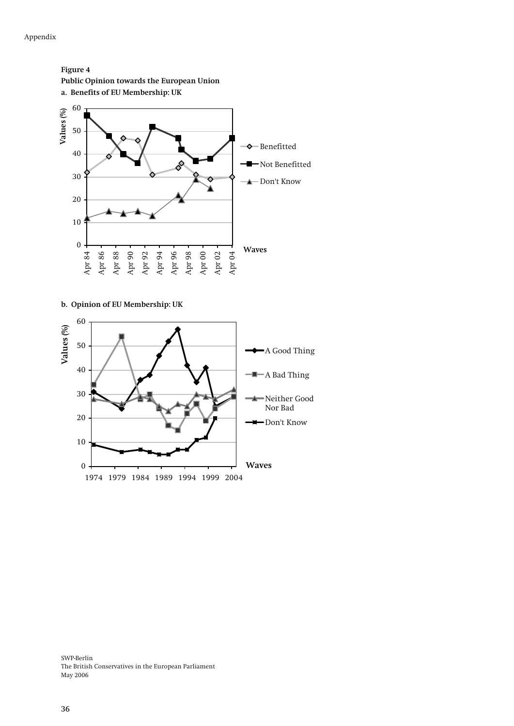**Figure 4** 

<span id="page-35-0"></span>

**b. Opinion of EU Membership: UK** 



SWP-Berlin The British Conservatives in the European Parliament May 2006